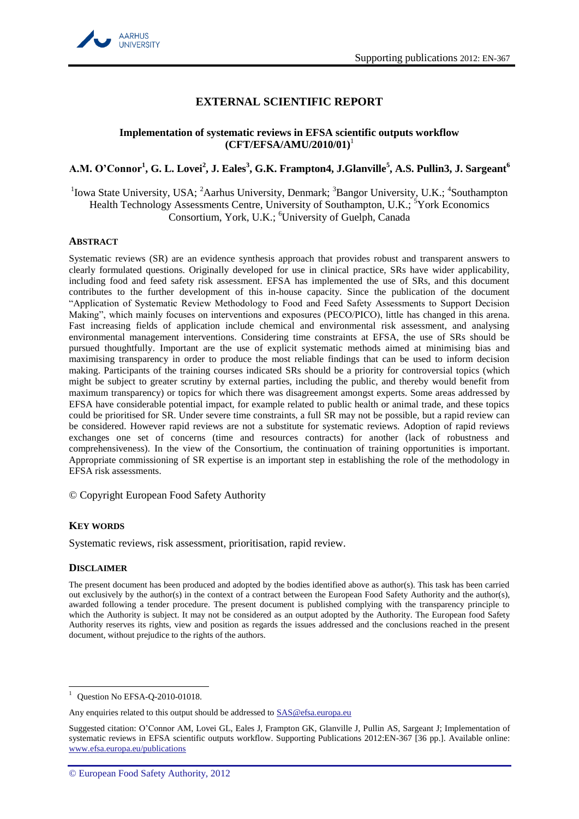

# **EXTERNAL SCIENTIFIC REPORT**

### **Implementation of systematic reviews in EFSA scientific outputs workflow (CFT/EFSA/AMU/2010/01)**<sup>1</sup>

# **A.M. O'Connor<sup>1</sup> , G. L. Lovei<sup>2</sup> , J. Eales<sup>3</sup> , G.K. Frampton4, J.Glanville<sup>5</sup> , A.S. Pullin3, J. Sargeant<sup>6</sup>**

<sup>1</sup>Iowa State University, USA; <sup>2</sup>Aarhus University, Denmark; <sup>3</sup>Bangor University, U.K.; <sup>4</sup>Southampton Health Technology Assessments Centre, University of Southampton, U.K.; <sup>5</sup>York Economics Consortium, York, U.K.; <sup>6</sup>University of Guelph, Canada

#### <span id="page-0-0"></span>**ABSTRACT**

Systematic reviews (SR) are an evidence synthesis approach that provides robust and transparent answers to clearly formulated questions. Originally developed for use in clinical practice, SRs have wider applicability, including food and feed safety risk assessment. EFSA has implemented the use of SRs, and this document contributes to the further development of this in-house capacity. Since the publication of the document "Application of Systematic Review Methodology to Food and Feed Safety Assessments to Support Decision Making", which mainly focuses on interventions and exposures (PECO/PICO), little has changed in this arena. Fast increasing fields of application include chemical and environmental risk assessment, and analysing environmental management interventions. Considering time constraints at EFSA, the use of SRs should be pursued thoughtfully. Important are the use of explicit systematic methods aimed at minimising bias and maximising transparency in order to produce the most reliable findings that can be used to inform decision making. Participants of the training courses indicated SRs should be a priority for controversial topics (which might be subject to greater scrutiny by external parties, including the public, and thereby would benefit from maximum transparency) or topics for which there was disagreement amongst experts. Some areas addressed by EFSA have considerable potential impact, for example related to public health or animal trade, and these topics could be prioritised for SR. Under severe time constraints, a full SR may not be possible, but a rapid review can be considered. However rapid reviews are not a substitute for systematic reviews. Adoption of rapid reviews exchanges one set of concerns (time and resources contracts) for another (lack of robustness and comprehensiveness). In the view of the Consortium, the continuation of training opportunities is important. Appropriate commissioning of SR expertise is an important step in establishing the role of the methodology in EFSA risk assessments.

© Copyright European Food Safety Authority

# **KEY WORDS**

Systematic reviews, risk assessment, prioritisation, rapid review.

#### **DISCLAIMER**

 $\overline{a}$ Ouestion No EFSA-Q-2010-01018.

Any enquiries related to this output should be addressed to SAS@efsa.europa.eu

Suggested citation: O'Connor AM, Lovei GL, Eales J, Frampton GK, Glanville J, Pullin AS, Sargeant J; Implementation of systematic reviews in EFSA scientific outputs workflow. Supporting Publications 2012:EN-367 [36 pp.]. Available online: www.efsa.europa.eu/publications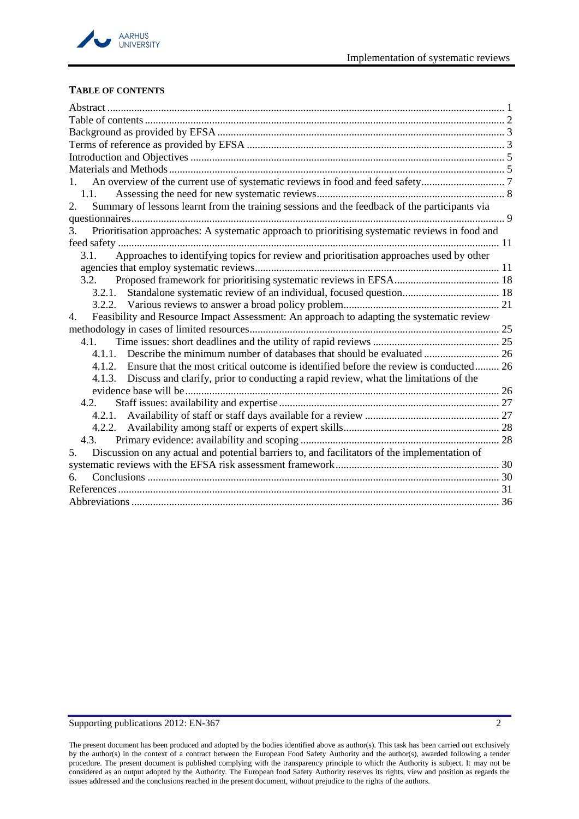

# <span id="page-1-0"></span>**TABLE OF CONTENTS**

| $1_{-}$                                                                                               |  |
|-------------------------------------------------------------------------------------------------------|--|
| 1.1.                                                                                                  |  |
| Summary of lessons learnt from the training sessions and the feedback of the participants via<br>2.   |  |
|                                                                                                       |  |
| Prioritisation approaches: A systematic approach to prioritising systematic reviews in food and<br>3. |  |
|                                                                                                       |  |
| Approaches to identifying topics for review and prioritisation approaches used by other<br>3.1.       |  |
|                                                                                                       |  |
| 3.2.                                                                                                  |  |
| 3.2.1.                                                                                                |  |
|                                                                                                       |  |
| Feasibility and Resource Impact Assessment: An approach to adapting the systematic review<br>4.       |  |
|                                                                                                       |  |
| 4.1.                                                                                                  |  |
| 4.1.1.                                                                                                |  |
| 4.1.2. Ensure that the most critical outcome is identified before the review is conducted 26          |  |
| 4.1.3. Discuss and clarify, prior to conducting a rapid review, what the limitations of the           |  |
|                                                                                                       |  |
| 4.2.                                                                                                  |  |
|                                                                                                       |  |
|                                                                                                       |  |
|                                                                                                       |  |
| Discussion on any actual and potential barriers to, and facilitators of the implementation of<br>5.   |  |
|                                                                                                       |  |
|                                                                                                       |  |
|                                                                                                       |  |
|                                                                                                       |  |

The present document has been produced and adopted by the bodies identified above as author(s). This task has been carried out exclusively by the author(s) in the context of a contract between the European Food Safety Authority and the author(s), awarded following a tender procedure. The present document is published complying with the transparency principle to which the Authority is subject. It may not be considered as an output adopted by the Authority. The European food Safety Authority reserves its rights, view and position as regards the issues addressed and the conclusions reached in the present document, without prejudice to the rights of the authors.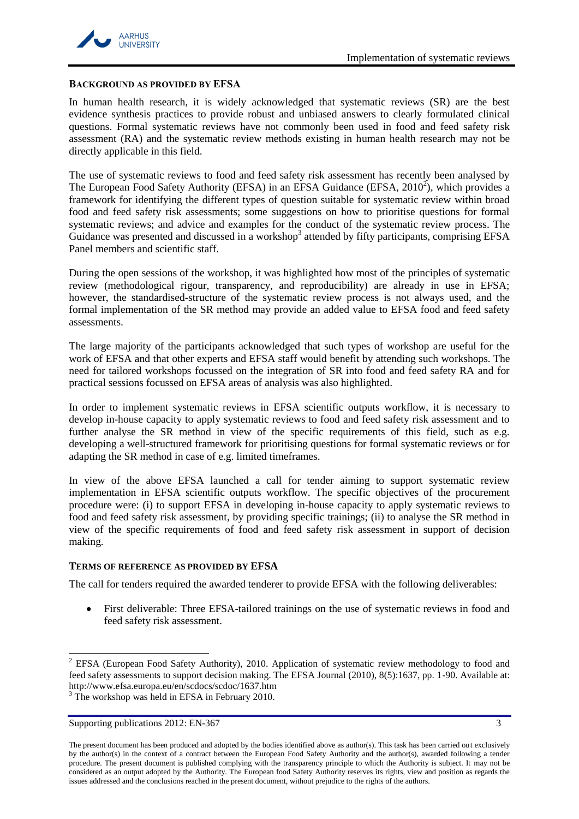

#### <span id="page-2-0"></span>**BACKGROUND AS PROVIDED BY EFSA**

In human health research, it is widely acknowledged that systematic reviews (SR) are the best evidence synthesis practices to provide robust and unbiased answers to clearly formulated clinical questions. Formal systematic reviews have not commonly been used in food and feed safety risk assessment (RA) and the systematic review methods existing in human health research may not be directly applicable in this field.

The use of systematic reviews to food and feed safety risk assessment has recently been analysed by The European Food Safety Authority (EFSA) in an EFSA Guidance (EFSA,  $2010^2$ ), which provides a framework for identifying the different types of question suitable for systematic review within broad food and feed safety risk assessments; some suggestions on how to prioritise questions for formal systematic reviews; and advice and examples for the conduct of the systematic review process. The Guidance was presented and discussed in a workshop<sup>3</sup> attended by fifty participants, comprising EFSA Panel members and scientific staff.

During the open sessions of the workshop, it was highlighted how most of the principles of systematic review (methodological rigour, transparency, and reproducibility) are already in use in EFSA; however, the standardised-structure of the systematic review process is not always used, and the formal implementation of the SR method may provide an added value to EFSA food and feed safety assessments.

The large majority of the participants acknowledged that such types of workshop are useful for the work of EFSA and that other experts and EFSA staff would benefit by attending such workshops. The need for tailored workshops focussed on the integration of SR into food and feed safety RA and for practical sessions focussed on EFSA areas of analysis was also highlighted.

In order to implement systematic reviews in EFSA scientific outputs workflow, it is necessary to develop in-house capacity to apply systematic reviews to food and feed safety risk assessment and to further analyse the SR method in view of the specific requirements of this field, such as e.g. developing a well-structured framework for prioritising questions for formal systematic reviews or for adapting the SR method in case of e.g. limited timeframes.

In view of the above EFSA launched a call for tender aiming to support systematic review implementation in EFSA scientific outputs workflow. The specific objectives of the procurement procedure were: (i) to support EFSA in developing in-house capacity to apply systematic reviews to food and feed safety risk assessment, by providing specific trainings; (ii) to analyse the SR method in view of the specific requirements of food and feed safety risk assessment in support of decision making.

# <span id="page-2-1"></span>**TERMS OF REFERENCE AS PROVIDED BY EFSA**

The call for tenders required the awarded tenderer to provide EFSA with the following deliverables:

 $\bullet$ First deliverable: Three EFSA-tailored trainings on the use of systematic reviews in food and feed safety risk assessment.

l

<sup>&</sup>lt;sup>2</sup> EFSA (European Food Safety Authority), 2010. Application of systematic review methodology to food and feed safety assessments to support decision making. The EFSA Journal (2010), 8(5):1637, pp. 1-90. Available at: http://www.efsa.europa.eu/en/scdocs/scdoc/1637.htm <sup>3</sup> The workshop was held in EFSA in February 2010.

Supporting publications 2012: EN-367 3

The present document has been produced and adopted by the bodies identified above as author(s). This task has been carried out exclusively by the author(s) in the context of a contract between the European Food Safety Authority and the author(s), awarded following a tender procedure. The present document is published complying with the transparency principle to which the Authority is subject. It may not be considered as an output adopted by the Authority. The European food Safety Authority reserves its rights, view and position as regards the issues addressed and the conclusions reached in the present document, without prejudice to the rights of the authors.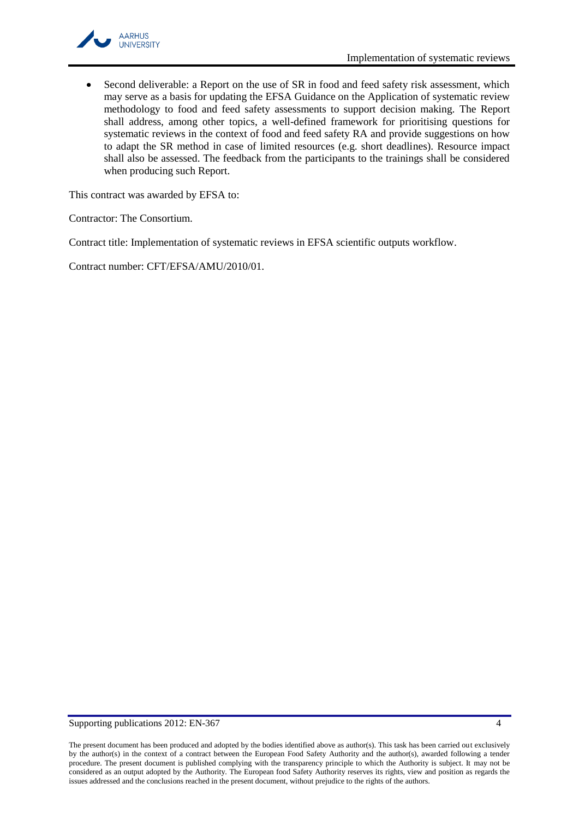

Second deliverable: a Report on the use of SR in food and feed safety risk assessment, which  $\bullet$ may serve as a basis for updating the EFSA Guidance on the Application of systematic review methodology to food and feed safety assessments to support decision making. The Report shall address, among other topics, a well-defined framework for prioritising questions for systematic reviews in the context of food and feed safety RA and provide suggestions on how to adapt the SR method in case of limited resources (e.g. short deadlines). Resource impact shall also be assessed. The feedback from the participants to the trainings shall be considered when producing such Report.

This contract was awarded by EFSA to:

Contractor: The Consortium.

Contract title: Implementation of systematic reviews in EFSA scientific outputs workflow.

Contract number: CFT/EFSA/AMU/2010/01.

The present document has been produced and adopted by the bodies identified above as author(s). This task has been carried out exclusively by the author(s) in the context of a contract between the European Food Safety Authority and the author(s), awarded following a tender procedure. The present document is published complying with the transparency principle to which the Authority is subject. It may not be considered as an output adopted by the Authority. The European food Safety Authority reserves its rights, view and position as regards the issues addressed and the conclusions reached in the present document, without prejudice to the rights of the authors.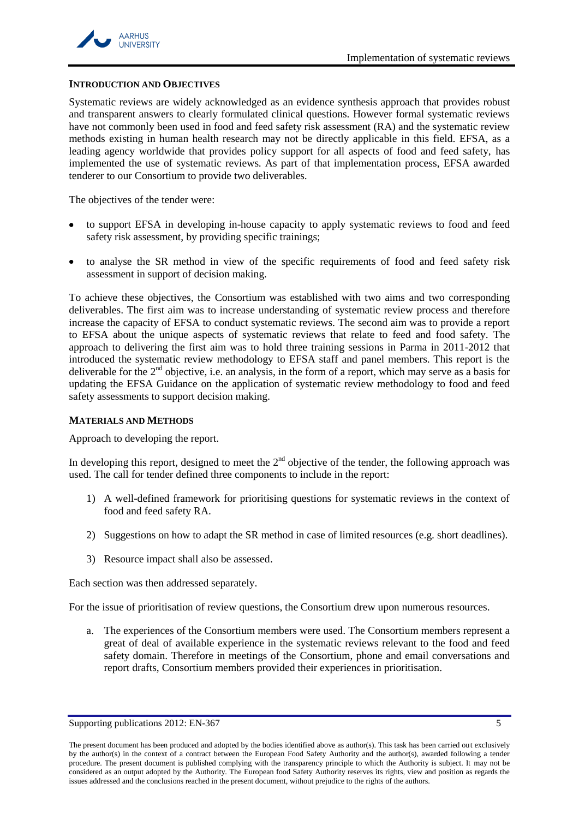

### <span id="page-4-0"></span>**INTRODUCTION AND OBJECTIVES**

Systematic reviews are widely acknowledged as an evidence synthesis approach that provides robust and transparent answers to clearly formulated clinical questions. However formal systematic reviews have not commonly been used in food and feed safety risk assessment (RA) and the systematic review methods existing in human health research may not be directly applicable in this field. EFSA, as a leading agency worldwide that provides policy support for all aspects of food and feed safety, has implemented the use of systematic reviews. As part of that implementation process, EFSA awarded tenderer to our Consortium to provide two deliverables.

The objectives of the tender were:

- to support EFSA in developing in-house capacity to apply systematic reviews to food and feed safety risk assessment, by providing specific trainings;
- to analyse the SR method in view of the specific requirements of food and feed safety risk assessment in support of decision making.

To achieve these objectives, the Consortium was established with two aims and two corresponding deliverables. The first aim was to increase understanding of systematic review process and therefore increase the capacity of EFSA to conduct systematic reviews. The second aim was to provide a report to EFSA about the unique aspects of systematic reviews that relate to feed and food safety. The approach to delivering the first aim was to hold three training sessions in Parma in 2011-2012 that introduced the systematic review methodology to EFSA staff and panel members. This report is the deliverable for the  $2<sup>nd</sup>$  objective, i.e. an analysis, in the form of a report, which may serve as a basis for updating the EFSA Guidance on the application of systematic review methodology to food and feed safety assessments to support decision making.

# <span id="page-4-1"></span>**MATERIALS AND METHODS**

Approach to developing the report.

In developing this report, designed to meet the  $2<sup>nd</sup>$  objective of the tender, the following approach was used. The call for tender defined three components to include in the report:

- 1) A well-defined framework for prioritising questions for systematic reviews in the context of food and feed safety RA.
- 2) Suggestions on how to adapt the SR method in case of limited resources (e.g. short deadlines).
- 3) Resource impact shall also be assessed.

Each section was then addressed separately.

For the issue of prioritisation of review questions, the Consortium drew upon numerous resources.

a. The experiences of the Consortium members were used. The Consortium members represent a great of deal of available experience in the systematic reviews relevant to the food and feed safety domain. Therefore in meetings of the Consortium, phone and email conversations and report drafts, Consortium members provided their experiences in prioritisation.

Supporting publications 2012: EN-367 5

The present document has been produced and adopted by the bodies identified above as author(s). This task has been carried out exclusively by the author(s) in the context of a contract between the European Food Safety Authority and the author(s), awarded following a tender procedure. The present document is published complying with the transparency principle to which the Authority is subject. It may not be considered as an output adopted by the Authority. The European food Safety Authority reserves its rights, view and position as regards the issues addressed and the conclusions reached in the present document, without prejudice to the rights of the authors.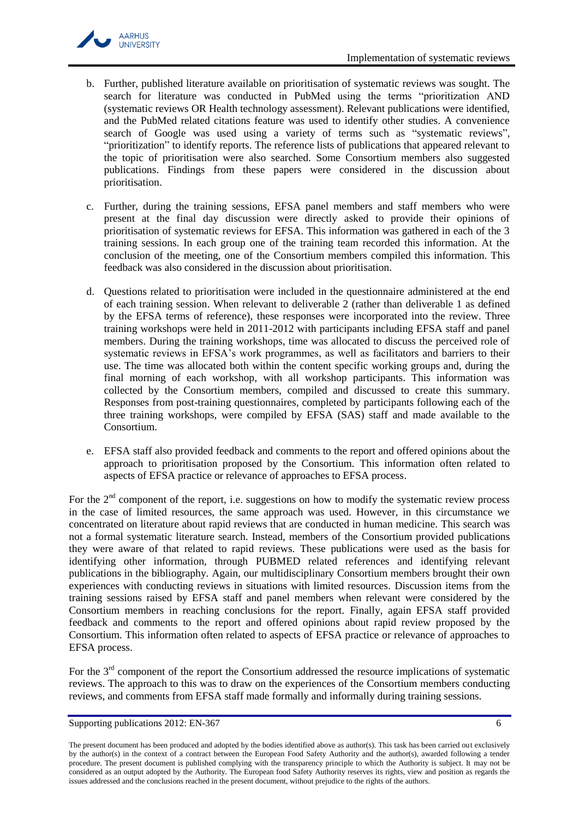

- b. Further, published literature available on prioritisation of systematic reviews was sought. The search for literature was conducted in PubMed using the terms "prioritization AND (systematic reviews OR Health technology assessment). Relevant publications were identified, and the PubMed related citations feature was used to identify other studies. A convenience search of Google was used using a variety of terms such as "systematic reviews", "prioritization" to identify reports. The reference lists of publications that appeared relevant to the topic of prioritisation were also searched. Some Consortium members also suggested publications. Findings from these papers were considered in the discussion about prioritisation.
- c. Further, during the training sessions, EFSA panel members and staff members who were present at the final day discussion were directly asked to provide their opinions of prioritisation of systematic reviews for EFSA. This information was gathered in each of the 3 training sessions. In each group one of the training team recorded this information. At the conclusion of the meeting, one of the Consortium members compiled this information. This feedback was also considered in the discussion about prioritisation.
- d. Questions related to prioritisation were included in the questionnaire administered at the end of each training session. When relevant to deliverable 2 (rather than deliverable 1 as defined by the EFSA terms of reference), these responses were incorporated into the review. Three training workshops were held in 2011-2012 with participants including EFSA staff and panel members. During the training workshops, time was allocated to discuss the perceived role of systematic reviews in EFSA's work programmes, as well as facilitators and barriers to their use. The time was allocated both within the content specific working groups and, during the final morning of each workshop, with all workshop participants. This information was collected by the Consortium members, compiled and discussed to create this summary. Responses from post-training questionnaires, completed by participants following each of the three training workshops, were compiled by EFSA (SAS) staff and made available to the Consortium.
- e. EFSA staff also provided feedback and comments to the report and offered opinions about the approach to prioritisation proposed by the Consortium. This information often related to aspects of EFSA practice or relevance of approaches to EFSA process.

For the  $2<sup>nd</sup>$  component of the report, i.e. suggestions on how to modify the systematic review process in the case of limited resources, the same approach was used. However, in this circumstance we concentrated on literature about rapid reviews that are conducted in human medicine. This search was not a formal systematic literature search. Instead, members of the Consortium provided publications they were aware of that related to rapid reviews. These publications were used as the basis for identifying other information, through PUBMED related references and identifying relevant publications in the bibliography. Again, our multidisciplinary Consortium members brought their own experiences with conducting reviews in situations with limited resources. Discussion items from the training sessions raised by EFSA staff and panel members when relevant were considered by the Consortium members in reaching conclusions for the report. Finally, again EFSA staff provided feedback and comments to the report and offered opinions about rapid review proposed by the Consortium. This information often related to aspects of EFSA practice or relevance of approaches to EFSA process.

For the 3<sup>rd</sup> component of the report the Consortium addressed the resource implications of systematic reviews. The approach to this was to draw on the experiences of the Consortium members conducting reviews, and comments from EFSA staff made formally and informally during training sessions.

The present document has been produced and adopted by the bodies identified above as author(s). This task has been carried out exclusively by the author(s) in the context of a contract between the European Food Safety Authority and the author(s), awarded following a tender procedure. The present document is published complying with the transparency principle to which the Authority is subject. It may not be considered as an output adopted by the Authority. The European food Safety Authority reserves its rights, view and position as regards the issues addressed and the conclusions reached in the present document, without prejudice to the rights of the authors.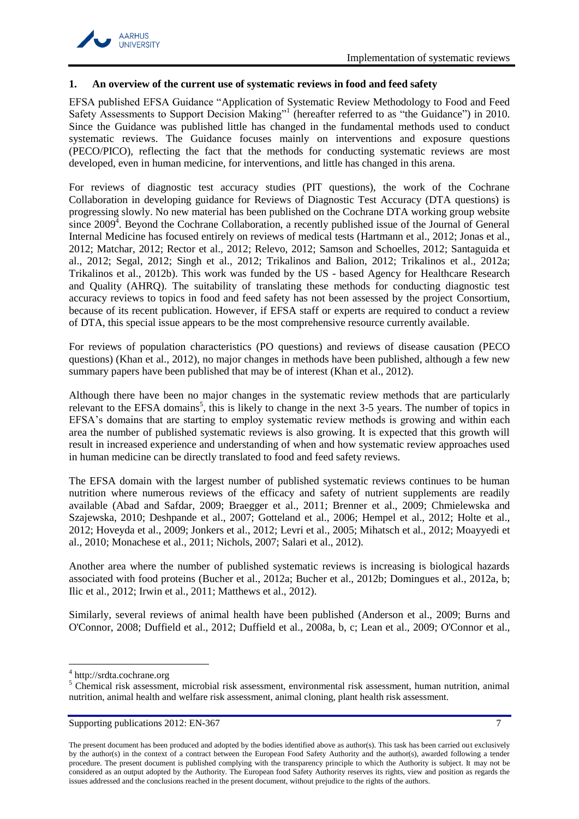

#### <span id="page-6-0"></span>**1. An overview of the current use of systematic reviews in food and feed safety**

EFSA published EFSA Guidance "Application of Systematic Review Methodology to Food and Feed Safety Assessments to Support Decision Making["](#page-30-1)<sup>1</sup> (hereafter referred to as "the Guidance") in 2010. Since the Guidance was published little has changed in the fundamental methods used to conduct systematic reviews. The Guidance focuses mainly on interventions and exposure questions (PECO/PICO), reflecting the fact that the methods for conducting systematic reviews are most developed, even in human medicine, for interventions, and little has changed in this arena.

For reviews of diagnostic test accuracy studies (PIT questions), the work of the Cochrane Collaboration in developing guidance for Reviews of Diagnostic Test Accuracy (DTA questions) is progressing slowly. No new material has been published on the Cochrane DTA working group website since  $2009<sup>4</sup>$ . Beyond the Cochrane Collaboration, a recently published issue of the Journal of General Internal Medicine has focused entirely on reviews of medical tests [\(Hartmann et al., 2012;](#page-31-0) [Jonas et al.,](#page-32-0)  [2012;](#page-32-0) [Matchar, 2012;](#page-32-1) [Rector et al., 2012;](#page-33-0) [Relevo, 2012;](#page-33-1) [Samson and Schoelles, 2012;](#page-33-2) [Santaguida et](#page-33-3)  [al., 2012;](#page-33-3) [Segal, 2012;](#page-33-4) [Singh et al., 2012;](#page-34-0) [Trikalinos and Balion, 2012;](#page-34-1) [Trikalinos et al.,](#page-34-2) 2012a; [Trikalinos et al., 2012b\)](#page-34-3). This work was funded by the US - based Agency for Healthcare Research and Quality (AHRQ). The suitability of translating these methods for conducting diagnostic test accuracy reviews to topics in food and feed safety has not been assessed by the project Consortium, because of its recent publication. However, if EFSA staff or experts are required to conduct a review of DTA, this special issue appears to be the most comprehensive resource currently available.

For reviews of population characteristics (PO questions) and reviews of disease causation (PECO questions) [\(Khan et al., 2012\)](#page-32-2), no major changes in methods have been published, although a few new summary papers have been published that may be of interest [\(Khan et al., 2012\)](#page-32-2).

Although there have been no major changes in the systematic review methods that are particularly relevant to the EFSA domains<sup>5</sup>, this is likely to change in the next 3-5 years. The number of topics in EFSA's domains that are starting to employ systematic review methods is growing and within each area the number of published systematic reviews is also growing. It is expected that this growth will result in increased experience and understanding of when and how systematic review approaches used in human medicine can be directly translated to food and feed safety reviews.

The EFSA domain with the largest number of published systematic reviews continues to be human nutrition where numerous reviews of the efficacy and safety of nutrient supplements are readily available [\(Abad and Safdar, 2009;](#page-30-2) [Braegger et al., 2011;](#page-30-3) [Brenner et al., 2009;](#page-30-4) [Chmielewska and](#page-30-5)  [Szajewska, 2010;](#page-30-5) [Deshpande et al., 2007;](#page-31-1) [Gotteland et al., 2006;](#page-31-2) [Hempel et al., 2012;](#page-31-3) [Holte et al.,](#page-31-4)  [2012;](#page-31-4) [Hoveyda et al., 2009;](#page-31-5) [Jonkers et al., 2012;](#page-32-3) [Levri et al., 2005;](#page-32-4) [Mihatsch et al., 2012;](#page-32-5) [Moayyedi et](#page-32-6)  [al., 2010;](#page-32-6) [Monachese et al., 2011;](#page-33-5) [Nichols, 2007;](#page-33-6) [Salari et al.,](#page-33-7) 2012).

Another area where the number of published systematic reviews is increasing is biological hazards associated with food proteins [\(Bucher et al., 2012a;](#page-30-6) [Bucher et al., 2012b;](#page-30-7) [Domingues et al., 2012a,](#page-31-6) [b;](#page-31-7) [Ilic et al., 2012;](#page-31-8) [Irwin et al., 2011;](#page-32-7) [Matthews et al., 2012\)](#page-32-8).

Similarly, several reviews of animal health have been published [\(Anderson et al., 2009;](#page-30-8) [Burns and](#page-30-9)  [O'Connor, 2008;](#page-30-9) [Duffield et al., 2012;](#page-31-9) [Duffield et al., 2008a,](#page-31-10) [b,](#page-31-11) [c;](#page-31-12) [Lean et al., 2009;](#page-32-9) [O'Connor et al.,](#page-33-8) 

l

<sup>4</sup> http://srdta.cochrane.org

<sup>&</sup>lt;sup>5</sup> Chemical risk assessment, microbial risk assessment, environmental risk assessment, human nutrition, animal nutrition, animal health and welfare risk assessment, animal cloning, plant health risk assessment.

Supporting publications 2012: EN-367 7

The present document has been produced and adopted by the bodies identified above as author(s). This task has been carried out exclusively by the author(s) in the context of a contract between the European Food Safety Authority and the author(s), awarded following a tender procedure. The present document is published complying with the transparency principle to which the Authority is subject. It may not be considered as an output adopted by the Authority. The European food Safety Authority reserves its rights, view and position as regards the issues addressed and the conclusions reached in the present document, without prejudice to the rights of the authors.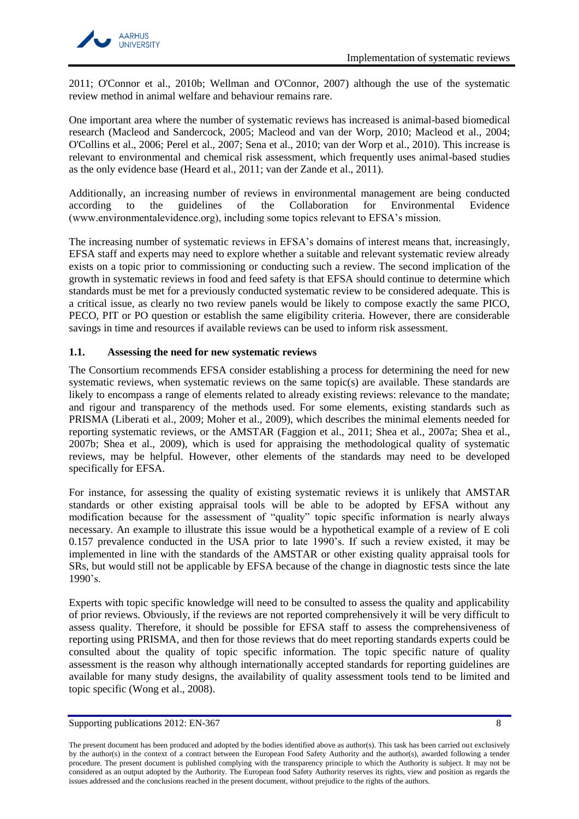

2011; [O'Connor et al., 2010b;](#page-33-9) [Wellman and O'Connor, 2007\)](#page-34-4) although the use of the systematic review method in animal welfare and behaviour remains rare.

One important area where the number of systematic reviews has increased is animal-based biomedical research [\(Macleod and Sandercock, 2005;](#page-32-10) [Macleod and van der Worp, 2010;](#page-32-11) [Macleod et al., 2004;](#page-32-12) [O'Collins et al., 2006;](#page-33-10) [Perel et al., 2007;](#page-33-11) [Sena et al., 2010;](#page-33-12) [van der Worp et al., 2010\)](#page-34-5). This increase is relevant to environmental and chemical risk assessment, which frequently uses animal-based studies as the only evidence base [\(Heard et al., 2011;](#page-31-13) [van der Zande et al., 2011\)](#page-34-6).

Additionally, an increasing number of reviews in environmental management are being conducted according to the guidelines of the Collaboration for Environmental Evidence (www.environmentalevidence.org), including some topics relevant to EFSA's mission.

The increasing number of systematic reviews in EFSA's domains of interest means that, increasingly, EFSA staff and experts may need to explore whether a suitable and relevant systematic review already exists on a topic prior to commissioning or conducting such a review. The second implication of the growth in systematic reviews in food and feed safety is that EFSA should continue to determine which standards must be met for a previously conducted systematic review to be considered adequate. This is a critical issue, as clearly no two review panels would be likely to compose exactly the same PICO, PECO, PIT or PO question or establish the same eligibility criteria. However, there are considerable savings in time and resources if available reviews can be used to inform risk assessment.

# <span id="page-7-0"></span>**1.1. Assessing the need for new systematic reviews**

The Consortium recommends EFSA consider establishing a process for determining the need for new systematic reviews, when systematic reviews on the same topic(s) are available. These standards are likely to encompass a range of elements related to already existing reviews: relevance to the mandate; and rigour and transparency of the methods used. For some elements, existing standards such as PRISMA [\(Liberati et al., 2009;](#page-32-13) [Moher et al., 2009\)](#page-32-14), which describes the minimal elements needed for reporting systematic reviews, or the AMSTAR [\(Faggion et al., 2011;](#page-31-14) [Shea et al., 2007a;](#page-33-13) [Shea et al.,](#page-33-14)  [2007b;](#page-33-14) [Shea et al., 2009\)](#page-34-7), which is used for appraising the methodological quality of systematic reviews, may be helpful. However, other elements of the standards may need to be developed specifically for EFSA.

For instance, for assessing the quality of existing systematic reviews it is unlikely that AMSTAR standards or other existing appraisal tools will be able to be adopted by EFSA without any modification because for the assessment of "quality" topic specific information is nearly always necessary. An example to illustrate this issue would be a hypothetical example of a review of E coli 0.157 prevalence conducted in the USA prior to late 1990's. If such a review existed, it may be implemented in line with the standards of the AMSTAR or other existing quality appraisal tools for SRs, but would still not be applicable by EFSA because of the change in diagnostic tests since the late 1990's.

Experts with topic specific knowledge will need to be consulted to assess the quality and applicability of prior reviews. Obviously, if the reviews are not reported comprehensively it will be very difficult to assess quality. Therefore, it should be possible for EFSA staff to assess the comprehensiveness of reporting using PRISMA, and then for those reviews that do meet reporting standards experts could be consulted about the quality of topic specific information. The topic specific nature of quality assessment is the reason why although internationally accepted standards for reporting guidelines are available for many study designs, the availability of quality assessment tools tend to be limited and topic specific [\(Wong et al., 2008\)](#page-35-1).

Supporting publications 2012: EN-367 8

The present document has been produced and adopted by the bodies identified above as author(s). This task has been carried out exclusively by the author(s) in the context of a contract between the European Food Safety Authority and the author(s), awarded following a tender procedure. The present document is published complying with the transparency principle to which the Authority is subject. It may not be considered as an output adopted by the Authority. The European food Safety Authority reserves its rights, view and position as regards the issues addressed and the conclusions reached in the present document, without prejudice to the rights of the authors.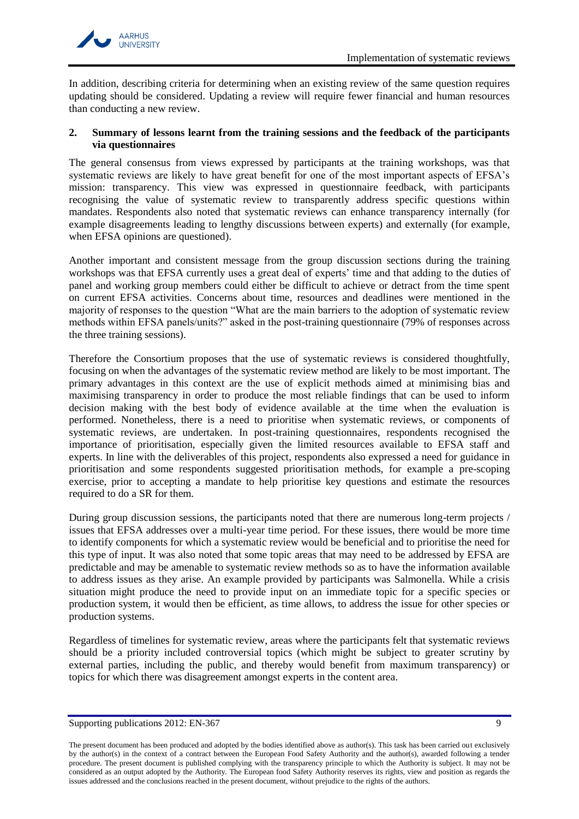

In addition, describing criteria for determining when an existing review of the same question requires updating should be considered. Updating a review will require fewer financial and human resources than conducting a new review.

# <span id="page-8-0"></span>**2. Summary of lessons learnt from the training sessions and the feedback of the participants via questionnaires**

The general consensus from views expressed by participants at the training workshops, was that systematic reviews are likely to have great benefit for one of the most important aspects of EFSA's mission: transparency. This view was expressed in questionnaire feedback, with participants recognising the value of systematic review to transparently address specific questions within mandates. Respondents also noted that systematic reviews can enhance transparency internally (for example disagreements leading to lengthy discussions between experts) and externally (for example, when EFSA opinions are questioned).

Another important and consistent message from the group discussion sections during the training workshops was that EFSA currently uses a great deal of experts' time and that adding to the duties of panel and working group members could either be difficult to achieve or detract from the time spent on current EFSA activities. Concerns about time, resources and deadlines were mentioned in the majority of responses to the question "What are the main barriers to the adoption of systematic review methods within EFSA panels/units?" asked in the post-training questionnaire (79% of responses across the three training sessions).

Therefore the Consortium proposes that the use of systematic reviews is considered thoughtfully, focusing on when the advantages of the systematic review method are likely to be most important. The primary advantages in this context are the use of explicit methods aimed at minimising bias and maximising transparency in order to produce the most reliable findings that can be used to inform decision making with the best body of evidence available at the time when the evaluation is performed. Nonetheless, there is a need to prioritise when systematic reviews, or components of systematic reviews, are undertaken. In post-training questionnaires, respondents recognised the importance of prioritisation, especially given the limited resources available to EFSA staff and experts. In line with the deliverables of this project, respondents also expressed a need for guidance in prioritisation and some respondents suggested prioritisation methods, for example a pre-scoping exercise, prior to accepting a mandate to help prioritise key questions and estimate the resources required to do a SR for them.

During group discussion sessions, the participants noted that there are numerous long-term projects / issues that EFSA addresses over a multi-year time period. For these issues, there would be more time to identify components for which a systematic review would be beneficial and to prioritise the need for this type of input. It was also noted that some topic areas that may need to be addressed by EFSA are predictable and may be amenable to systematic review methods so as to have the information available to address issues as they arise. An example provided by participants was Salmonella. While a crisis situation might produce the need to provide input on an immediate topic for a specific species or production system, it would then be efficient, as time allows, to address the issue for other species or production systems.

Regardless of timelines for systematic review, areas where the participants felt that systematic reviews should be a priority included controversial topics (which might be subject to greater scrutiny by external parties, including the public, and thereby would benefit from maximum transparency) or topics for which there was disagreement amongst experts in the content area.

The present document has been produced and adopted by the bodies identified above as author(s). This task has been carried out exclusively by the author(s) in the context of a contract between the European Food Safety Authority and the author(s), awarded following a tender procedure. The present document is published complying with the transparency principle to which the Authority is subject. It may not be considered as an output adopted by the Authority. The European food Safety Authority reserves its rights, view and position as regards the issues addressed and the conclusions reached in the present document, without prejudice to the rights of the authors.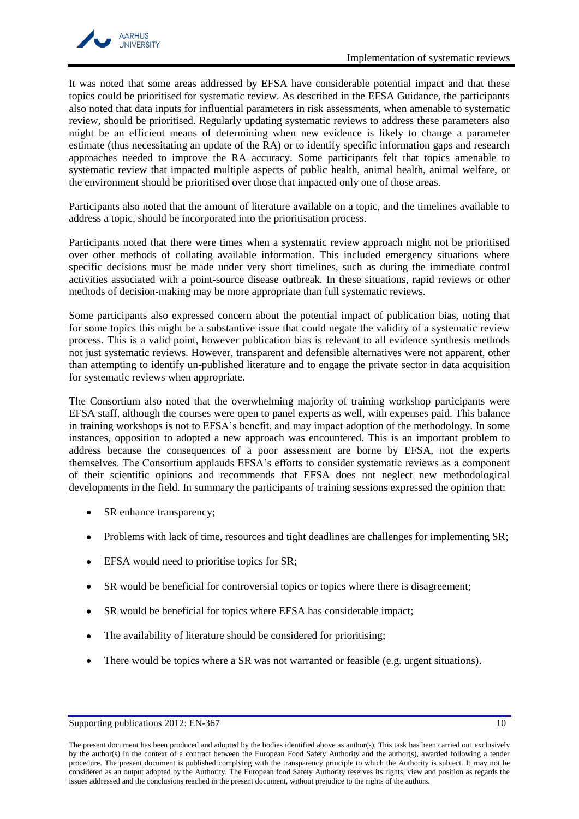

It was noted that some areas addressed by EFSA have considerable potential impact and that these topics could be prioritised for systematic review. As described in the EFSA Guidance, the participants also noted that data inputs for influential parameters in risk assessments, when amenable to systematic review, should be prioritised. Regularly updating systematic reviews to address these parameters also might be an efficient means of determining when new evidence is likely to change a parameter estimate (thus necessitating an update of the RA) or to identify specific information gaps and research approaches needed to improve the RA accuracy. Some participants felt that topics amenable to systematic review that impacted multiple aspects of public health, animal health, animal welfare, or the environment should be prioritised over those that impacted only one of those areas.

Participants also noted that the amount of literature available on a topic, and the timelines available to address a topic, should be incorporated into the prioritisation process.

Participants noted that there were times when a systematic review approach might not be prioritised over other methods of collating available information. This included emergency situations where specific decisions must be made under very short timelines, such as during the immediate control activities associated with a point-source disease outbreak. In these situations, rapid reviews or other methods of decision-making may be more appropriate than full systematic reviews.

Some participants also expressed concern about the potential impact of publication bias, noting that for some topics this might be a substantive issue that could negate the validity of a systematic review process. This is a valid point, however publication bias is relevant to all evidence synthesis methods not just systematic reviews. However, transparent and defensible alternatives were not apparent, other than attempting to identify un-published literature and to engage the private sector in data acquisition for systematic reviews when appropriate.

The Consortium also noted that the overwhelming majority of training workshop participants were EFSA staff, although the courses were open to panel experts as well, with expenses paid. This balance in training workshops is not to EFSA's benefit, and may impact adoption of the methodology. In some instances, opposition to adopted a new approach was encountered. This is an important problem to address because the consequences of a poor assessment are borne by EFSA, not the experts themselves. The Consortium applauds EFSA's efforts to consider systematic reviews as a component of their scientific opinions and recommends that EFSA does not neglect new methodological developments in the field. In summary the participants of training sessions expressed the opinion that:

- SR enhance transparency;
- Problems with lack of time, resources and tight deadlines are challenges for implementing SR;
- EFSA would need to prioritise topics for SR;  $\bullet$
- SR would be beneficial for controversial topics or topics where there is disagreement;
- SR would be beneficial for topics where EFSA has considerable impact;
- The availability of literature should be considered for prioritising;
- There would be topics where a SR was not warranted or feasible (e.g. urgent situations). $\bullet$

Supporting publications 2012: EN-367 10

The present document has been produced and adopted by the bodies identified above as author(s). This task has been carried out exclusively by the author(s) in the context of a contract between the European Food Safety Authority and the author(s), awarded following a tender procedure. The present document is published complying with the transparency principle to which the Authority is subject. It may not be considered as an output adopted by the Authority. The European food Safety Authority reserves its rights, view and position as regards the issues addressed and the conclusions reached in the present document, without prejudice to the rights of the authors.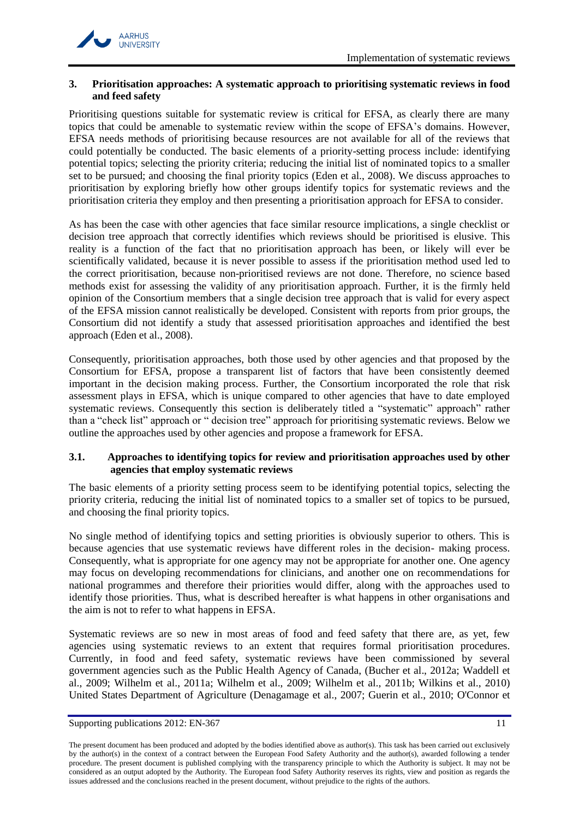

# <span id="page-10-0"></span>**3. Prioritisation approaches: A systematic approach to prioritising systematic reviews in food and feed safety**

Prioritising questions suitable for systematic review is critical for EFSA, as clearly there are many topics that could be amenable to systematic review within the scope of EFSA's domains. However, EFSA needs methods of prioritising because resources are not available for all of the reviews that could potentially be conducted. The basic elements of a priority-setting process include: identifying potential topics; selecting the priority criteria; reducing the initial list of nominated topics to a smaller set to be pursued; and choosing the final priority topics (Eden [et al., 2008\)](#page-31-15). We discuss approaches to prioritisation by exploring briefly how other groups identify topics for systematic reviews and the prioritisation criteria they employ and then presenting a prioritisation approach for EFSA to consider.

As has been the case with other agencies that face similar resource implications, a single checklist or decision tree approach that correctly identifies which reviews should be prioritised is elusive. This reality is a function of the fact that no prioritisation approach has been, or likely will ever be scientifically validated, because it is never possible to assess if the prioritisation method used led to the correct prioritisation, because non-prioritised reviews are not done. Therefore, no science based methods exist for assessing the validity of any prioritisation approach. Further, it is the firmly held opinion of the Consortium members that a single decision tree approach that is valid for every aspect of the EFSA mission cannot realistically be developed. Consistent with reports from prior groups, the Consortium did not identify a study that assessed prioritisation approaches and identified the best approach (Eden [et al., 2008\)](#page-31-15).

Consequently, prioritisation approaches, both those used by other agencies and that proposed by the Consortium for EFSA, propose a transparent list of factors that have been consistently deemed important in the decision making process. Further, the Consortium incorporated the role that risk assessment plays in EFSA, which is unique compared to other agencies that have to date employed systematic reviews. Consequently this section is deliberately titled a "systematic" approach" rather than a "check list" approach or " decision tree" approach for prioritising systematic reviews. Below we outline the approaches used by other agencies and propose a framework for EFSA.

# <span id="page-10-1"></span>**3.1. Approaches to identifying topics for review and prioritisation approaches used by other agencies that employ systematic reviews**

The basic elements of a priority setting process seem to be identifying potential topics, selecting the priority criteria, reducing the initial list of nominated topics to a smaller set of topics to be pursued, and choosing the final priority topics.

No single method of identifying topics and setting priorities is obviously superior to others. This is because agencies that use systematic reviews have different roles in the decision- making process. Consequently, what is appropriate for one agency may not be appropriate for another one. One agency may focus on developing recommendations for clinicians, and another one on recommendations for national programmes and therefore their priorities would differ, along with the approaches used to identify those priorities. Thus, what is described hereafter is what happens in other organisations and the aim is not to refer to what happens in EFSA.

Systematic reviews are so new in most areas of food and feed safety that there are, as yet, few agencies using systematic reviews to an extent that requires formal prioritisation procedures. Currently, in food and feed safety, systematic reviews have been commissioned by several government agencies such as the Public Health Agency of Canada, [\(Bucher et al., 2012a;](#page-30-6) [Waddell et](#page-34-8)  [al., 2009;](#page-34-8) [Wilhelm et al., 2011a;](#page-34-9) [Wilhelm et al., 2009;](#page-34-10) [Wilhelm et al., 2011b;](#page-34-11) [Wilkins et al., 2010\)](#page-35-2) United States Department of Agriculture [\(Denagamage et al., 2007;](#page-31-16) [Guerin et al., 2010;](#page-31-17) [O'Connor](#page-33-15) et

Supporting publications 2012: EN-367 11

The present document has been produced and adopted by the bodies identified above as author(s). This task has been carried out exclusively by the author(s) in the context of a contract between the European Food Safety Authority and the author(s), awarded following a tender procedure. The present document is published complying with the transparency principle to which the Authority is subject. It may not be considered as an output adopted by the Authority. The European food Safety Authority reserves its rights, view and position as regards the issues addressed and the conclusions reached in the present document, without prejudice to the rights of the authors.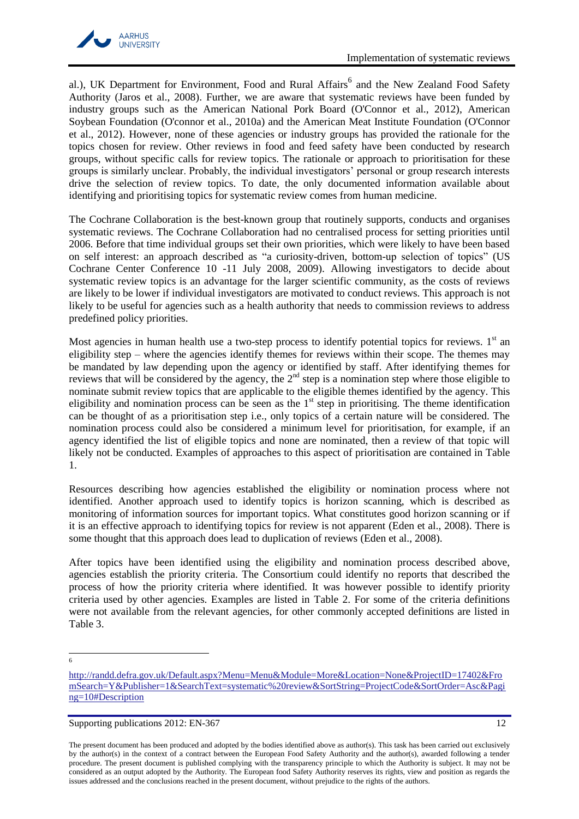al.), UK Department for Environment, Food and Rural Affairs<sup>6</sup> and the New Zealand Food Safety Authority [\(Jaros et al., 2008\)](#page-32-15). Further, we are aware that systematic reviews have been funded by industry groups such as the American National Pork Board [\(O'Connor et al., 2012\)](#page-33-16), American Soybean Foundation [\(O'connor et al., 2010a\)](#page-33-17) and the American Meat Institute Foundation [\(O'Connor](#page-33-16)  [et al., 2012\)](#page-33-16). However, none of these agencies or industry groups has provided the rationale for the topics chosen for review. Other reviews in food and feed safety have been conducted by research groups, without specific calls for review topics. The rationale or approach to prioritisation for these groups is similarly unclear. Probably, the individual investigators' personal or group research interests drive the selection of review topics. To date, the only documented information available about identifying and prioritising topics for systematic review comes from human medicine.

The Cochrane Collaboration is the best-known group that routinely supports, conducts and organises systematic reviews. The Cochrane Collaboration had no centralised process for setting priorities until 2006. Before that time individual groups set their own priorities, which were likely to have been based on self interest: an approach described as "a curiosity-driven, bottom-up selection of topics" [\(US](#page-34-12)  [Cochrane Center Conference 10 -11 July 2008, 2009\)](#page-34-12). Allowing investigators to decide about systematic review topics is an advantage for the larger scientific community, as the costs of reviews are likely to be lower if individual investigators are motivated to conduct reviews. This approach is not likely to be useful for agencies such as a health authority that needs to commission reviews to address predefined policy priorities.

Most agencies in human health use a two-step process to identify potential topics for reviews.  $1<sup>st</sup>$  an eligibility step – where the agencies identify themes for reviews within their scope. The themes may be mandated by law depending upon the agency or identified by staff. After identifying themes for reviews that will be considered by the agency, the  $2<sup>nd</sup>$  step is a nomination step where those eligible to nominate submit review topics that are applicable to the eligible themes identified by the agency. This eligibility and nomination process can be seen as the  $1<sup>st</sup>$  step in prioritising. The theme identification can be thought of as a prioritisation step i.e., only topics of a certain nature will be considered. The nomination process could also be considered a minimum level for prioritisation, for example, if an agency identified the list of eligible topics and none are nominated, then a review of that topic will likely not be conducted. Examples of approaches to this aspect of prioritisation are contained in [Table](#page-13-0)  [1.](#page-13-0)

Resources describing how agencies established the eligibility or nomination process where not identified. Another approach used to identify topics is horizon scanning, which is described as monitoring of information sources for important topics. What constitutes good horizon scanning or if it is an effective approach to identifying topics for review is not apparent (Eden [et al., 2008\)](#page-31-15). There is some thought that this approach does lead to duplication of reviews (Eden [et al., 2008\)](#page-31-15).

After topics have been identified using the eligibility and nomination process described above, agencies establish the priority criteria. The Consortium could identify no reports that described the process of how the priority criteria where identified. It was however possible to identify priority criteria used by other agencies. Examples are listed in [Table 2.](#page-15-0) For some of the criteria definitions were not available from the relevant agencies, for other commonly accepted definitions are listed in [Table 3.](#page-16-0)

 $\frac{1}{6}$ 

[http://randd.defra.gov.uk/Default.aspx?Menu=Menu&Module=More&Location=None&ProjectID=17402&Fro](http://randd.defra.gov.uk/Default.aspx?Menu=Menu&Module=More&Location=None&ProjectID=17402&FromSearch=Y&Publisher=1&SearchText=systematic%20review&SortString=ProjectCode&SortOrder=Asc&Paging=10#Description) [mSearch=Y&Publisher=1&SearchText=systematic%20review&SortString=ProjectCode&SortOrder=Asc&Pagi](http://randd.defra.gov.uk/Default.aspx?Menu=Menu&Module=More&Location=None&ProjectID=17402&FromSearch=Y&Publisher=1&SearchText=systematic%20review&SortString=ProjectCode&SortOrder=Asc&Paging=10#Description) [ng=10#Description](http://randd.defra.gov.uk/Default.aspx?Menu=Menu&Module=More&Location=None&ProjectID=17402&FromSearch=Y&Publisher=1&SearchText=systematic%20review&SortString=ProjectCode&SortOrder=Asc&Paging=10#Description)

Supporting publications 2012: EN-367 12

The present document has been produced and adopted by the bodies identified above as author(s). This task has been carried out exclusively by the author(s) in the context of a contract between the European Food Safety Authority and the author(s), awarded following a tender procedure. The present document is published complying with the transparency principle to which the Authority is subject. It may not be considered as an output adopted by the Authority. The European food Safety Authority reserves its rights, view and position as regards the issues addressed and the conclusions reached in the present document, without prejudice to the rights of the authors.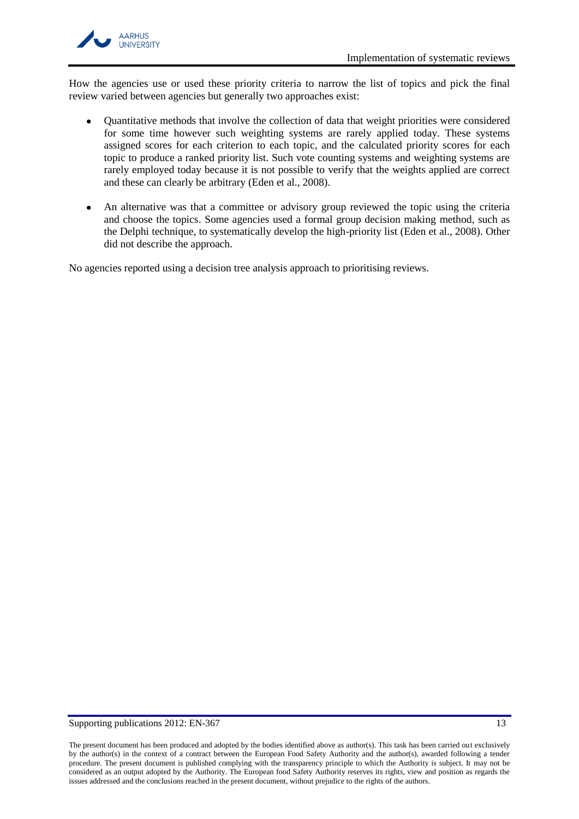

How the agencies use or used these priority criteria to narrow the list of topics and pick the final review varied between agencies but generally two approaches exist:

- Quantitative methods that involve the collection of data that weight priorities were considered for some time however such weighting systems are rarely applied today. These systems assigned scores for each criterion to each topic, and the calculated priority scores for each topic to produce a ranked priority list. Such vote counting systems and weighting systems are rarely employed today because it is not possible to verify that the weights applied are correct and these can clearly be arbitrary (Eden [et al., 2008\)](#page-31-15).
- An alternative was that a committee or advisory group reviewed the topic using the criteria and choose the topics. Some agencies used a formal group decision making method, such as the Delphi technique, to systematically develop the high-priority list (Eden [et al., 2008\)](#page-31-15). Other did not describe the approach.

No agencies reported using a decision tree analysis approach to prioritising reviews.

#### Supporting publications 2012: EN-367 13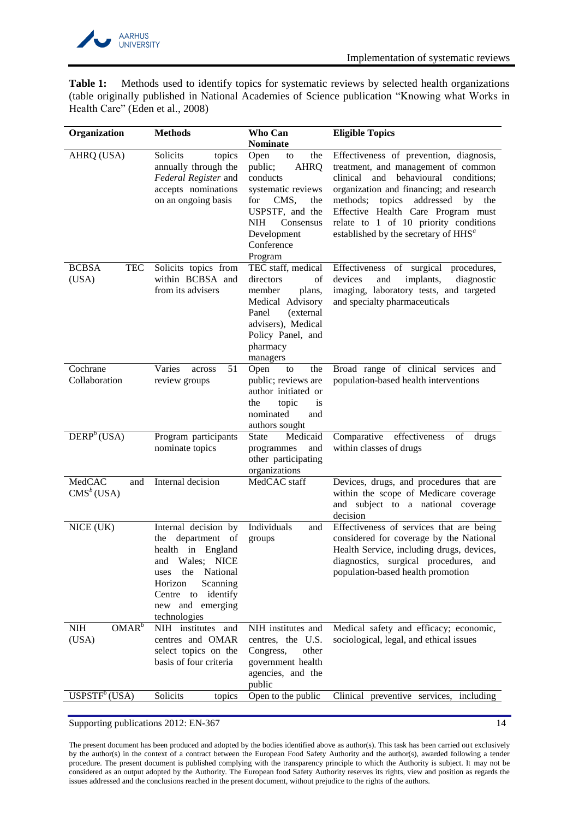

<span id="page-13-0"></span>**Table 1:** Methods used to identify topics for systematic reviews by selected health organizations (table originally published in National Academies of Science publication "Knowing what Works in Health Care" (Eden [et al., 2008\)](#page-31-15)

| Organization                            | <b>Methods</b>                                                                                                                                                                                | Who Can                                                                                                                                                                                   | <b>Eligible Topics</b>                                                                                                                                                                                                                                                                                                                                   |
|-----------------------------------------|-----------------------------------------------------------------------------------------------------------------------------------------------------------------------------------------------|-------------------------------------------------------------------------------------------------------------------------------------------------------------------------------------------|----------------------------------------------------------------------------------------------------------------------------------------------------------------------------------------------------------------------------------------------------------------------------------------------------------------------------------------------------------|
|                                         |                                                                                                                                                                                               | <b>Nominate</b>                                                                                                                                                                           |                                                                                                                                                                                                                                                                                                                                                          |
| AHRQ (USA)                              | Solicits<br>topics<br>annually through the<br>Federal Register and<br>accepts nominations<br>on an ongoing basis                                                                              | Open<br>the<br>to<br>public;<br><b>AHRQ</b><br>conducts<br>systematic reviews<br>CMS,<br>for<br>the<br>USPSTF, and the<br><b>NIH</b><br>Consensus<br>Development<br>Conference<br>Program | Effectiveness of prevention, diagnosis,<br>treatment, and management of common<br>clinical<br>and behavioural conditions;<br>organization and financing; and research<br>methods;<br>topics<br>addressed<br>by<br>the<br>Effective Health Care Program must<br>relate to 1 of 10 priority conditions<br>established by the secretary of HHS <sup>a</sup> |
| <b>TEC</b><br><b>BCBSA</b><br>(USA)     | Solicits topics from<br>within BCBSA and<br>from its advisers                                                                                                                                 | TEC staff, medical<br>directors<br>of<br>member<br>plans,<br>Medical Advisory<br>Panel<br>(external)<br>advisers), Medical<br>Policy Panel, and<br>pharmacy<br>managers                   | Effectiveness of surgical procedures,<br>devices<br>implants,<br>diagnostic<br>and<br>imaging, laboratory tests, and targeted<br>and specialty pharmaceuticals                                                                                                                                                                                           |
| Cochrane<br>Collaboration               | Varies<br>51<br>across<br>review groups                                                                                                                                                       | Open<br>the<br>to<br>public; reviews are<br>author initiated or<br>topic<br>the<br><i>is</i><br>nominated<br>and<br>authors sought                                                        | Broad range of clinical services and<br>population-based health interventions                                                                                                                                                                                                                                                                            |
| DERP <sup>b</sup> (USA)                 | Program participants<br>nominate topics                                                                                                                                                       | Medicaid<br>State<br>programmes<br>and<br>other participating<br>organizations                                                                                                            | Comparative effectiveness<br>of<br>drugs<br>within classes of drugs                                                                                                                                                                                                                                                                                      |
| MedCAC<br>and<br>$CMSb$ (USA)           | Internal decision                                                                                                                                                                             | MedCAC staff                                                                                                                                                                              | Devices, drugs, and procedures that are<br>within the scope of Medicare coverage<br>and subject to a national coverage<br>decision                                                                                                                                                                                                                       |
| NICE (UK)                               | Internal decision by<br>department<br>the<br>of<br>health in England<br>and Wales; NICE<br>uses the National<br>Scanning<br>Horizon<br>Centre to identify<br>new and emerging<br>technologies | Individuals<br>and<br>groups                                                                                                                                                              | Effectiveness of services that are being<br>considered for coverage by the National<br>Health Service, including drugs, devices,<br>diagnostics, surgical procedures, and<br>population-based health promotion                                                                                                                                           |
| OMAR <sup>b</sup><br>$\rm NIH$<br>(USA) | NIH institutes<br>and<br>centres and OMAR<br>select topics on the<br>basis of four criteria                                                                                                   | NIH institutes and<br>centres, the U.S.<br>Congress,<br>other<br>government health<br>agencies, and the<br>public                                                                         | Medical safety and efficacy; economic,<br>sociological, legal, and ethical issues                                                                                                                                                                                                                                                                        |
| USPSTF <sup>b</sup> (USA)               | Solicits<br>topics                                                                                                                                                                            | Open to the public                                                                                                                                                                        | Clinical preventive services, including                                                                                                                                                                                                                                                                                                                  |

Supporting publications 2012: EN-367 14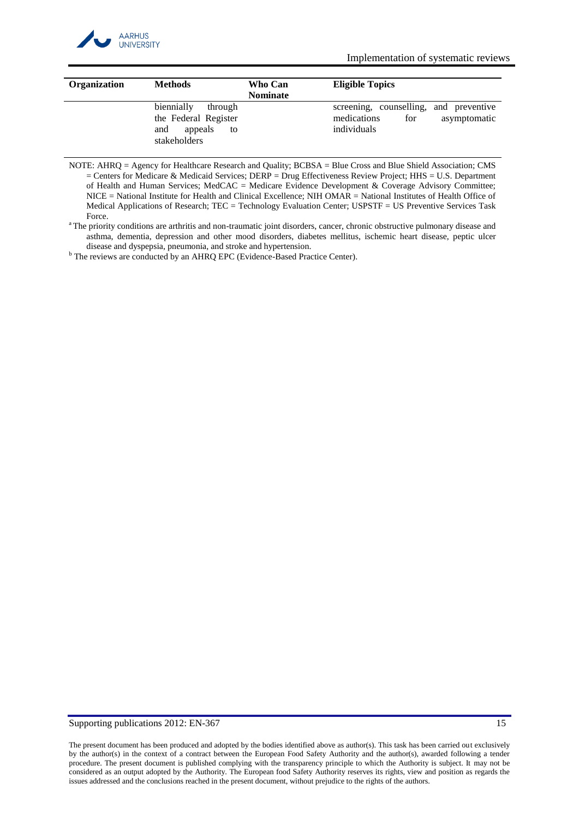

Implementation of systematic reviews

| <b>Organization</b> | <b>Methods</b>                                                                        | Who Can<br><b>Nominate</b> | <b>Eligible Topics</b>                                                                      |
|---------------------|---------------------------------------------------------------------------------------|----------------------------|---------------------------------------------------------------------------------------------|
|                     | biennially<br>through<br>the Federal Register<br>appeals<br>and<br>to<br>stakeholders |                            | screening, counselling, and preventive<br>medications<br>for<br>asymptomatic<br>individuals |

NOTE: AHRQ = Agency for Healthcare Research and Quality; BCBSA = Blue Cross and Blue Shield Association; CMS = Centers for Medicare & Medicaid Services; DERP = Drug Effectiveness Review Project; HHS = U.S. Department of Health and Human Services; MedCAC = Medicare Evidence Development & Coverage Advisory Committee; NICE = National Institute for Health and Clinical Excellence; NIH OMAR = National Institutes of Health Office of Medical Applications of Research; TEC = Technology Evaluation Center; USPSTF = US Preventive Services Task Force.

<sup>b</sup> The reviews are conducted by an AHRQ EPC (Evidence-Based Practice Center).

### Supporting publications 2012: EN-367 15

<sup>&</sup>lt;sup>a</sup>The priority conditions are arthritis and non-traumatic joint disorders, cancer, chronic obstructive pulmonary disease and asthma, dementia, depression and other mood disorders, diabetes mellitus, ischemic heart disease, peptic ulcer disease and dyspepsia, pneumonia, and stroke and hypertension.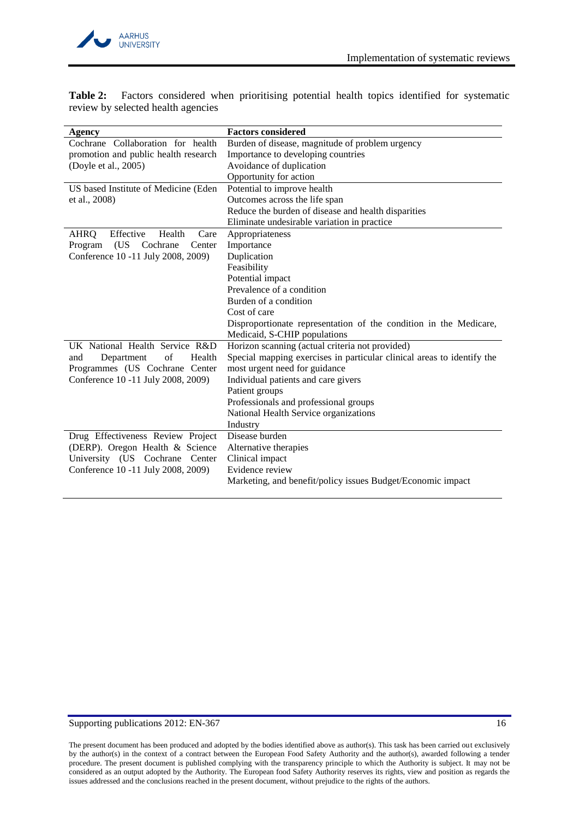

| Agency                                | <b>Factors considered</b>                                              |
|---------------------------------------|------------------------------------------------------------------------|
| Cochrane Collaboration for health     | Burden of disease, magnitude of problem urgency                        |
| promotion and public health research  | Importance to developing countries                                     |
| (Doyle et al., 2005)                  | Avoidance of duplication                                               |
|                                       | Opportunity for action                                                 |
| US based Institute of Medicine (Eden  | Potential to improve health                                            |
| et al., 2008)                         | Outcomes across the life span                                          |
|                                       | Reduce the burden of disease and health disparities                    |
|                                       | Eliminate undesirable variation in practice                            |
| Effective<br>Health<br>AHRQ<br>Care   | Appropriateness                                                        |
| (US)<br>Program<br>Cochrane<br>Center | Importance                                                             |
| Conference 10 -11 July 2008, 2009)    | Duplication                                                            |
|                                       | Feasibility                                                            |
|                                       | Potential impact                                                       |
|                                       | Prevalence of a condition                                              |
|                                       | Burden of a condition                                                  |
|                                       | Cost of care                                                           |
|                                       | Disproportionate representation of the condition in the Medicare,      |
|                                       | Medicaid, S-CHIP populations                                           |
| UK National Health Service R&D        | Horizon scanning (actual criteria not provided)                        |
| of<br>Health<br>Department<br>and     | Special mapping exercises in particular clinical areas to identify the |
| Programmes (US Cochrane Center        | most urgent need for guidance                                          |
| Conference 10 -11 July 2008, 2009)    | Individual patients and care givers                                    |
|                                       | Patient groups                                                         |
|                                       | Professionals and professional groups                                  |
|                                       | National Health Service organizations                                  |
|                                       | Industry                                                               |
| Drug Effectiveness Review Project     | Disease burden                                                         |
| (DERP). Oregon Health & Science       | Alternative therapies                                                  |
| University (US Cochrane Center        | Clinical impact                                                        |
| Conference 10 -11 July 2008, 2009)    | Evidence review                                                        |
|                                       | Marketing, and benefit/policy issues Budget/Economic impact            |

<span id="page-15-0"></span>**Table 2:** Factors considered when prioritising potential health topics identified for systematic review by selected health agencies

# Supporting publications 2012: EN-367 16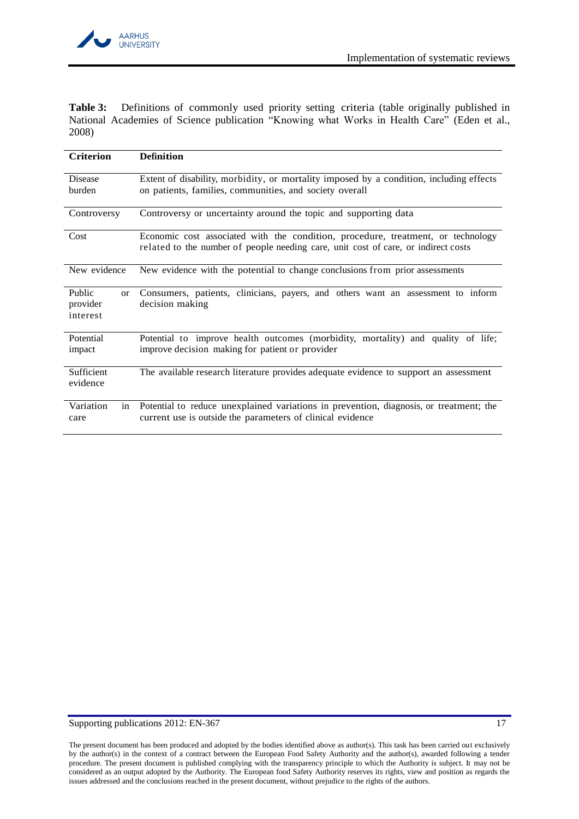

<span id="page-16-0"></span>**Table 3:** Definitions of commonly used priority setting criteria (table originally published in National Academies of Science publication "Knowing what Works in Health Care" (Eden [et al.,](#page-31-15)  [2008\)](#page-31-15)

| <b>Criterion</b>                                | <b>Definition</b>                                                                                                                                                      |  |  |  |
|-------------------------------------------------|------------------------------------------------------------------------------------------------------------------------------------------------------------------------|--|--|--|
| <b>Disease</b><br>burden                        | Extent of disability, morbidity, or mortality imposed by a condition, including effects<br>on patients, families, communities, and society overall                     |  |  |  |
| Controversy                                     | Controversy or uncertainty around the topic and supporting data                                                                                                        |  |  |  |
| Cost                                            | Economic cost associated with the condition, procedure, treatment, or technology<br>related to the number of people needing care, unit cost of care, or indirect costs |  |  |  |
| New evidence                                    | New evidence with the potential to change conclusions from prior assessments                                                                                           |  |  |  |
| Public<br><sub>or</sub><br>provider<br>interest | Consumers, patients, clinicians, payers, and others want an assessment to inform<br>decision making                                                                    |  |  |  |
| Potential<br>impact                             | Potential to improve health outcomes (morbidity, mortality) and quality of life;<br>improve decision making for patient or provider                                    |  |  |  |
| Sufficient<br>evidence                          | The available research literature provides adequate evidence to support an assessment                                                                                  |  |  |  |
| Variation<br>in<br>care                         | Potential to reduce unexplained variations in prevention, diagnosis, or treatment; the<br>current use is outside the parameters of clinical evidence                   |  |  |  |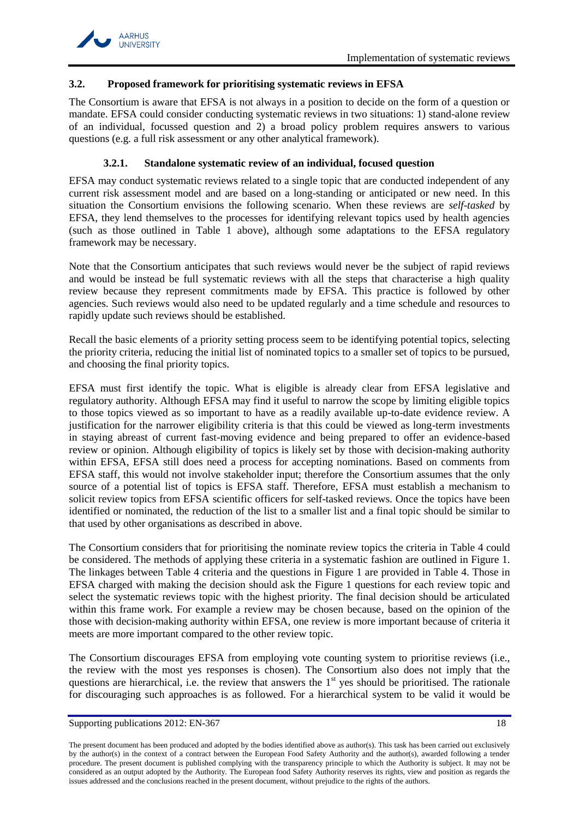# <span id="page-17-0"></span>**3.2. Proposed framework for prioritising systematic reviews in EFSA**

The Consortium is aware that EFSA is not always in a position to decide on the form of a question or mandate. EFSA could consider conducting systematic reviews in two situations: 1) stand-alone review of an individual, focussed question and 2) a broad policy problem requires answers to various questions (e.g. a full risk assessment or any other analytical framework).

# **3.2.1. Standalone systematic review of an individual, focused question**

<span id="page-17-1"></span>EFSA may conduct systematic reviews related to a single topic that are conducted independent of any current risk assessment model and are based on a long-standing or anticipated or new need. In this situation the Consortium envisions the following scenario. When these reviews are *self-tasked* by EFSA, they lend themselves to the processes for identifying relevant topics used by health agencies (such as those outlined in [Table 1](#page-13-0) above), although some adaptations to the EFSA regulatory framework may be necessary.

Note that the Consortium anticipates that such reviews would never be the subject of rapid reviews and would be instead be full systematic reviews with all the steps that characterise a high quality review because they represent commitments made by EFSA. This practice is followed by other agencies. Such reviews would also need to be updated regularly and a time schedule and resources to rapidly update such reviews should be established.

Recall the basic elements of a priority setting process seem to be identifying potential topics, selecting the priority criteria, reducing the initial list of nominated topics to a smaller set of topics to be pursued, and choosing the final priority topics.

EFSA must first identify the topic. What is eligible is already clear from EFSA legislative and regulatory authority. Although EFSA may find it useful to narrow the scope by limiting eligible topics to those topics viewed as so important to have as a readily available up-to-date evidence review. A justification for the narrower eligibility criteria is that this could be viewed as long-term investments in staying abreast of current fast-moving evidence and being prepared to offer an evidence-based review or opinion. Although eligibility of topics is likely set by those with decision-making authority within EFSA, EFSA still does need a process for accepting nominations. Based on comments from EFSA staff, this would not involve stakeholder input; therefore the Consortium assumes that the only source of a potential list of topics is EFSA staff. Therefore, EFSA must establish a mechanism to solicit review topics from EFSA scientific officers for self-tasked reviews. Once the topics have been identified or nominated, the reduction of the list to a smaller list and a final topic should be similar to that used by other organisations as described in above.

The Consortium considers that for prioritising the nominate review topics the criteria in [Table 4](#page-18-0) could be considered. The methods of applying these criteria in a systematic fashion are outlined in [Figure 1.](#page-20-1) The linkages between [Table 4](#page-18-0) criteria and the questions in [Figure 1](#page-20-1) are provided in [Table 4.](#page-18-0) Those in EFSA charged with making the decision should ask the [Figure 1](#page-20-1) questions for each review topic and select the systematic reviews topic with the highest priority. The final decision should be articulated within this frame work. For example a review may be chosen because, based on the opinion of the those with decision-making authority within EFSA, one review is more important because of criteria it meets are more important compared to the other review topic.

The Consortium discourages EFSA from employing vote counting system to prioritise reviews (i.e., the review with the most yes responses is chosen). The Consortium also does not imply that the questions are hierarchical, i.e. the review that answers the  $1<sup>st</sup>$  yes should be prioritised. The rationale for discouraging such approaches is as followed. For a hierarchical system to be valid it would be

The present document has been produced and adopted by the bodies identified above as author(s). This task has been carried out exclusively by the author(s) in the context of a contract between the European Food Safety Authority and the author(s), awarded following a tender procedure. The present document is published complying with the transparency principle to which the Authority is subject. It may not be considered as an output adopted by the Authority. The European food Safety Authority reserves its rights, view and position as regards the issues addressed and the conclusions reached in the present document, without prejudice to the rights of the authors.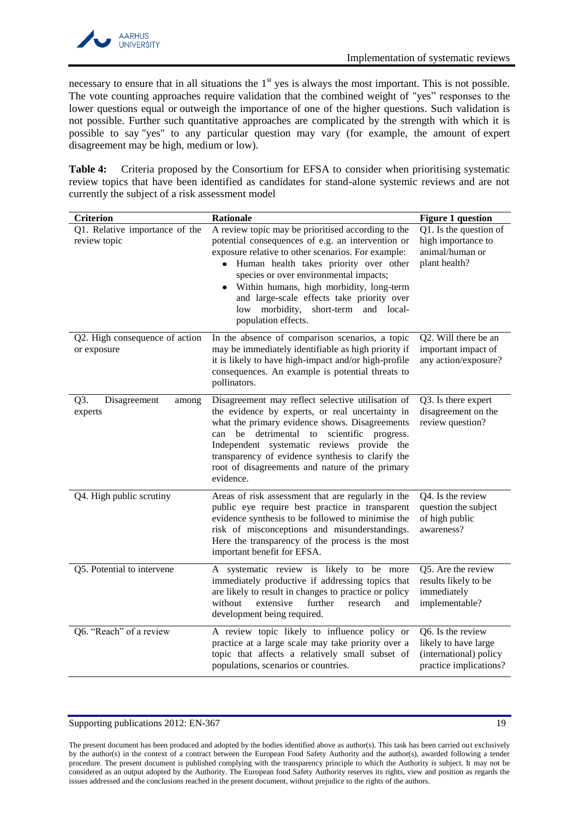necessary to ensure that in all situations the  $1<sup>st</sup>$  yes is always the most important. This is not possible. The vote counting approaches require validation that the combined weight of "yes" responses to the lower questions equal or outweigh the importance of one of the higher questions. Such validation is not possible. Further such quantitative approaches are complicated by the strength with which it is possible to say "yes" to any particular question may vary (for example, the amount of expert disagreement may be high, medium or low).

<span id="page-18-0"></span>**Table 4:** Criteria proposed by the Consortium for EFSA to consider when prioritising systematic review topics that have been identified as candidates for stand-alone systemic reviews and are not currently the subject of a risk assessment model

| <b>Criterion</b>                               | Rationale                                                                                                                                                                                                                                                                                                                                                                                                                          | <b>Figure 1 question</b>                                                                      |
|------------------------------------------------|------------------------------------------------------------------------------------------------------------------------------------------------------------------------------------------------------------------------------------------------------------------------------------------------------------------------------------------------------------------------------------------------------------------------------------|-----------------------------------------------------------------------------------------------|
| Q1. Relative importance of the<br>review topic | A review topic may be prioritised according to the<br>potential consequences of e.g. an intervention or<br>exposure relative to other scenarios. For example:<br>· Human health takes priority over other<br>species or over environmental impacts;<br>Within humans, high morbidity, long-term<br>$\bullet$<br>and large-scale effects take priority over<br>morbidity,<br>short-term<br>and local-<br>low<br>population effects. | Q1. Is the question of<br>high importance to<br>animal/human or<br>plant health?              |
| Q2. High consequence of action<br>or exposure  | In the absence of comparison scenarios, a topic<br>may be immediately identifiable as high priority if<br>it is likely to have high-impact and/or high-profile<br>consequences. An example is potential threats to<br>pollinators.                                                                                                                                                                                                 | Q2. Will there be an<br>important impact of<br>any action/exposure?                           |
| Q3.<br>Disagreement<br>among<br>experts        | Disagreement may reflect selective utilisation of<br>the evidence by experts, or real uncertainty in<br>what the primary evidence shows. Disagreements<br>detrimental to scientific progress.<br>be<br>can<br>Independent systematic reviews provide the<br>transparency of evidence synthesis to clarify the<br>root of disagreements and nature of the primary<br>evidence.                                                      | Q3. Is there expert<br>disagreement on the<br>review question?                                |
| Q4. High public scrutiny                       | Areas of risk assessment that are regularly in the<br>public eye require best practice in transparent<br>evidence synthesis to be followed to minimise the<br>risk of misconceptions and misunderstandings.<br>Here the transparency of the process is the most<br>important benefit for EFSA.                                                                                                                                     | Q4. Is the review<br>question the subject<br>of high public<br>awareness?                     |
| Q5. Potential to intervene                     | A systematic review is likely to be more<br>immediately productive if addressing topics that<br>are likely to result in changes to practice or policy<br>without<br>extensive<br>further<br>research<br>and<br>development being required.                                                                                                                                                                                         | Q5. Are the review<br>results likely to be<br>immediately<br>implementable?                   |
| Q6. "Reach" of a review                        | A review topic likely to influence policy or<br>practice at a large scale may take priority over a<br>topic that affects a relatively small subset of<br>populations, scenarios or countries.                                                                                                                                                                                                                                      | Q6. Is the review<br>likely to have large<br>(international) policy<br>practice implications? |

#### Supporting publications 2012: EN-367 19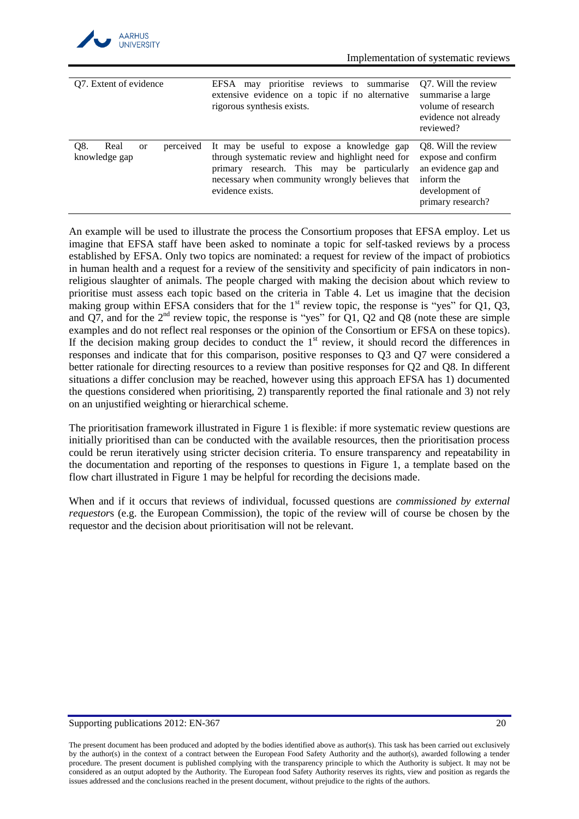

| Q7. Extent of evidence                                     | may prioritise reviews to summarise<br>EFSA<br>extensive evidence on a topic if no alternative<br>rigorous synthesis exists.                                                                                       | Q7. Will the review<br>summarise a large<br>volume of research<br>evidence not already<br>reviewed?                   |
|------------------------------------------------------------|--------------------------------------------------------------------------------------------------------------------------------------------------------------------------------------------------------------------|-----------------------------------------------------------------------------------------------------------------------|
| O8.<br>Real<br>perceived<br><sub>or</sub><br>knowledge gap | It may be useful to expose a knowledge gap<br>through systematic review and highlight need for<br>primary research. This may be particularly<br>necessary when community wrongly believes that<br>evidence exists. | O8. Will the review<br>expose and confirm<br>an evidence gap and<br>inform the<br>development of<br>primary research? |

An example will be used to illustrate the process the Consortium proposes that EFSA employ. Let us imagine that EFSA staff have been asked to nominate a topic for self-tasked reviews by a process established by EFSA. Only two topics are nominated: a request for review of the impact of probiotics in human health and a request for a review of the sensitivity and specificity of pain indicators in nonreligious slaughter of animals. The people charged with making the decision about which review to prioritise must assess each topic based on the criteria in [Table 4.](#page-18-0) Let us imagine that the decision making group within EFSA considers that for the  $1<sup>st</sup>$  review topic, the response is "yes" for Q1, Q3, and Q7, and for the  $2<sup>nd</sup>$  review topic, the response is "yes" for Q1, Q2 and Q8 (note these are simple examples and do not reflect real responses or the opinion of the Consortium or EFSA on these topics). If the decision making group decides to conduct the  $1<sup>st</sup>$  review, it should record the differences in responses and indicate that for this comparison, positive responses to Q3 and Q7 were considered a better rationale for directing resources to a review than positive responses for Q2 and Q8. In different situations a differ conclusion may be reached, however using this approach EFSA has 1) documented the questions considered when prioritising, 2) transparently reported the final rationale and 3) not rely on an unjustified weighting or hierarchical scheme.

The prioritisation framework illustrated in [Figure 1](#page-20-1) is flexible: if more systematic review questions are initially prioritised than can be conducted with the available resources, then the prioritisation process could be rerun iteratively using stricter decision criteria. To ensure transparency and repeatability in the documentation and reporting of the responses to questions in [Figure 1,](#page-20-1) a template based on the flow chart illustrated in [Figure 1](#page-20-1) may be helpful for recording the decisions made.

When and if it occurs that reviews of individual, focussed questions are *commissioned by external requestor*s (e.g. the European Commission), the topic of the review will of course be chosen by the requestor and the decision about prioritisation will not be relevant.

#### Supporting publications 2012: EN-367 20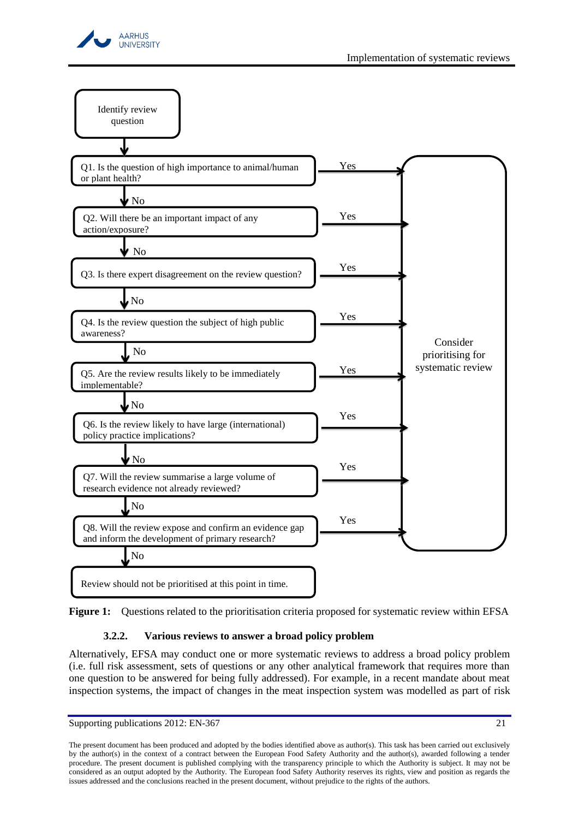



<span id="page-20-1"></span>

# **3.2.2. Various reviews to answer a broad policy problem**

<span id="page-20-0"></span>Alternatively, EFSA may conduct one or more systematic reviews to address a broad policy problem (i.e. full risk assessment, sets of questions or any other analytical framework that requires more than one question to be answered for being fully addressed). For example, in a recent mandate about meat inspection systems, the impact of changes in the meat inspection system was modelled as part of risk

Supporting publications 2012: EN-367 21

The present document has been produced and adopted by the bodies identified above as author(s). This task has been carried out exclusively by the author(s) in the context of a contract between the European Food Safety Authority and the author(s), awarded following a tender procedure. The present document is published complying with the transparency principle to which the Authority is subject. It may not be considered as an output adopted by the Authority. The European food Safety Authority reserves its rights, view and position as regards the issues addressed and the conclusions reached in the present document, without prejudice to the rights of the authors.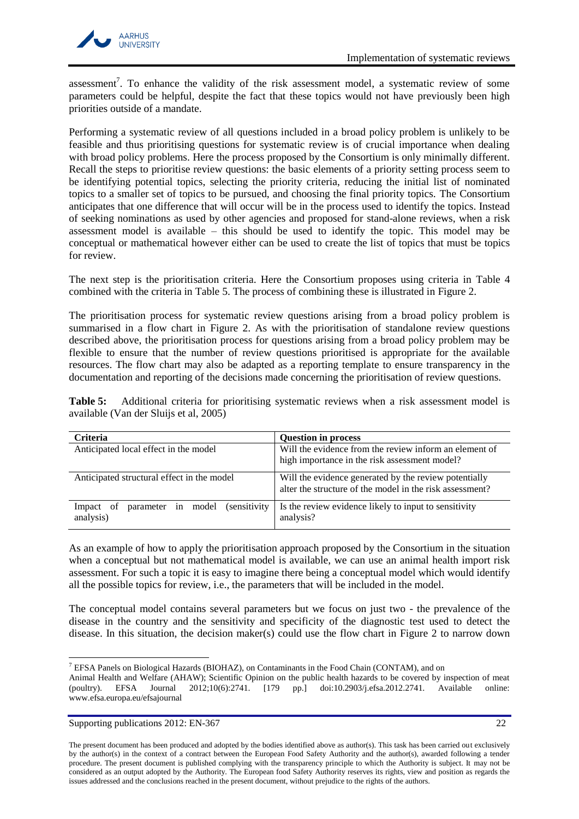

assessment<sup>7</sup>. To enhance the validity of the risk assessment model, a systematic review of some parameters could be helpful, despite the fact that these topics would not have previously been high priorities outside of a mandate.

Performing a systematic review of all questions included in a broad policy problem is unlikely to be feasible and thus prioritising questions for systematic review is of crucial importance when dealing with broad policy problems. Here the process proposed by the Consortium is only minimally different. Recall the steps to prioritise review questions: the basic elements of a priority setting process seem to be identifying potential topics, selecting the priority criteria, reducing the initial list of nominated topics to a smaller set of topics to be pursued, and choosing the final priority topics. The Consortium anticipates that one difference that will occur will be in the process used to identify the topics. Instead of seeking nominations as used by other agencies and proposed for stand-alone reviews, when a risk assessment model is available – this should be used to identify the topic. This model may be conceptual or mathematical however either can be used to create the list of topics that must be topics for review.

The next step is the prioritisation criteria. Here the Consortium proposes using criteria in [Table 4](#page-18-0) combined with the criteria in [Table 5.](#page-21-0) The process of combining these is illustrated in [Figure 2.](#page-23-0)

The prioritisation process for systematic review questions arising from a broad policy problem is summarised in a flow chart in [Figure 2.](#page-23-0) As with the prioritisation of standalone review questions described above, the prioritisation process for questions arising from a broad policy problem may be flexible to ensure that the number of review questions prioritised is appropriate for the available resources. The flow chart may also be adapted as a reporting template to ensure transparency in the documentation and reporting of the decisions made concerning the prioritisation of review questions.

<span id="page-21-0"></span>

| <b>Table 5:</b> Additional criteria for prioritising systematic reviews when a risk assessment model is |  |  |  |  |  |  |
|---------------------------------------------------------------------------------------------------------|--|--|--|--|--|--|
| available (Van der Sluijs et al, 2005)                                                                  |  |  |  |  |  |  |

| <b>Criteria</b>                                                         | <b>Question in process</b>                                                                                        |
|-------------------------------------------------------------------------|-------------------------------------------------------------------------------------------------------------------|
| Anticipated local effect in the model                                   | Will the evidence from the review inform an element of<br>high importance in the risk assessment model?           |
|                                                                         |                                                                                                                   |
| Anticipated structural effect in the model                              | Will the evidence generated by the review potentially<br>alter the structure of the model in the risk assessment? |
| <i>(sensitivity)</i><br>model<br>Impact of<br>parameter in<br>analysis) | Is the review evidence likely to input to sensitivity<br>analysis?                                                |

As an example of how to apply the prioritisation approach proposed by the Consortium in the situation when a conceptual but not mathematical model is available, we can use an animal health import risk assessment. For such a topic it is easy to imagine there being a conceptual model which would identify all the possible topics for review, i.e., the parameters that will be included in the model.

The conceptual model contains several parameters but we focus on just two - the prevalence of the disease in the country and the sensitivity and specificity of the diagnostic test used to detect the disease. In this situation, the decision maker(s) could use the flow chart in [Figure 2](#page-23-0) to narrow down

 $\overline{a}$ 

<sup>7</sup> EFSA Panels on Biological Hazards (BIOHAZ), on Contaminants in the Food Chain (CONTAM), and on

Animal Health and Welfare (AHAW); Scientific Opinion on the public health hazards to be covered by inspection of meat (poultry). EFSA Journal 2012;10(6):2741. [179 pp.] doi:10.2903/j.efsa.2012.2741. Available online: www.efsa.europa.eu/efsajournal

Supporting publications 2012: EN-367 22

The present document has been produced and adopted by the bodies identified above as author(s). This task has been carried out exclusively by the author(s) in the context of a contract between the European Food Safety Authority and the author(s), awarded following a tender procedure. The present document is published complying with the transparency principle to which the Authority is subject. It may not be considered as an output adopted by the Authority. The European food Safety Authority reserves its rights, view and position as regards the issues addressed and the conclusions reached in the present document, without prejudice to the rights of the authors.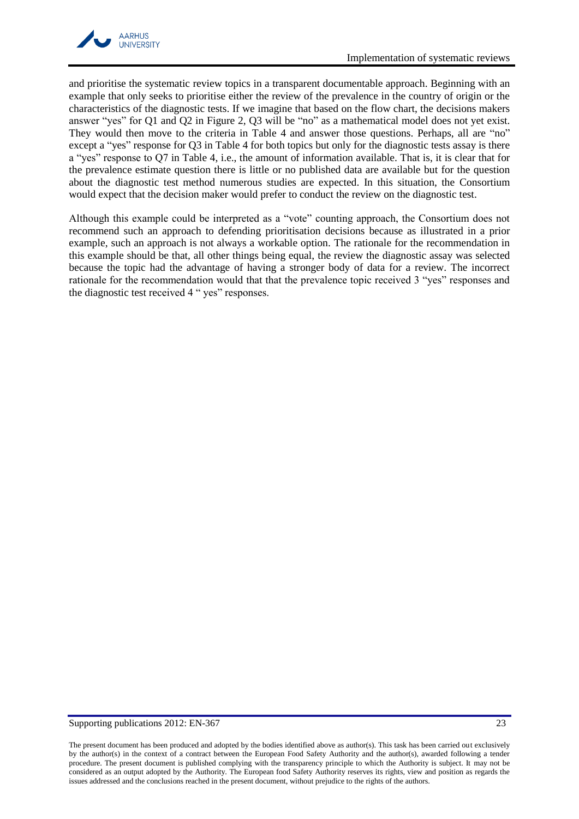

and prioritise the systematic review topics in a transparent documentable approach. Beginning with an example that only seeks to prioritise either the review of the prevalence in the country of origin or the characteristics of the diagnostic tests. If we imagine that based on the flow chart, the decisions makers answer "yes" for Q1 and Q2 in [Figure 2,](#page-23-0) Q3 will be "no" as a mathematical model does not yet exist. They would then move to the criteria in [Table 4](#page-18-0) and answer those questions. Perhaps, all are "no" except a "yes" response for Q3 in [Table 4](#page-18-0) for both topics but only for the diagnostic tests assay is there a "yes" response to Q7 in [Table 4,](#page-18-0) i.e., the amount of information available. That is, it is clear that for the prevalence estimate question there is little or no published data are available but for the question about the diagnostic test method numerous studies are expected. In this situation, the Consortium would expect that the decision maker would prefer to conduct the review on the diagnostic test.

Although this example could be interpreted as a "vote" counting approach, the Consortium does not recommend such an approach to defending prioritisation decisions because as illustrated in a prior example, such an approach is not always a workable option. The rationale for the recommendation in this example should be that, all other things being equal, the review the diagnostic assay was selected because the topic had the advantage of having a stronger body of data for a review. The incorrect rationale for the recommendation would that that the prevalence topic received 3 "yes" responses and the diagnostic test received 4 " yes" responses.

#### Supporting publications 2012: EN-367 23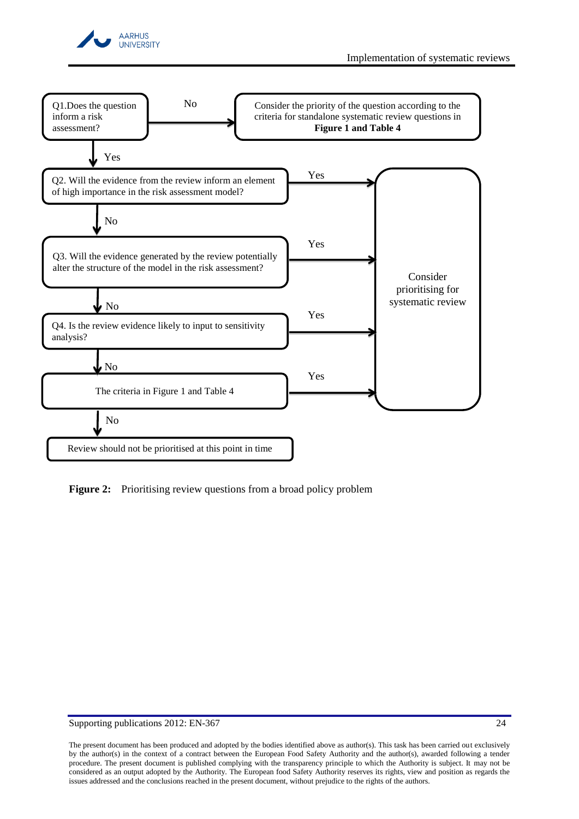



<span id="page-23-0"></span>**Figure 2:** Prioritising review questions from a broad policy problem

Supporting publications 2012: EN-367 24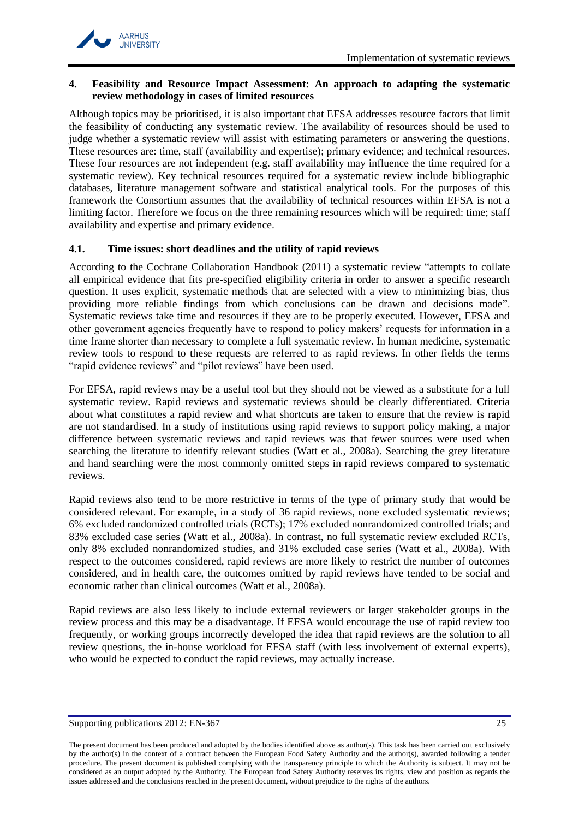

### <span id="page-24-0"></span>**4. Feasibility and Resource Impact Assessment: An approach to adapting the systematic review methodology in cases of limited resources**

Although topics may be prioritised, it is also important that EFSA addresses resource factors that limit the feasibility of conducting any systematic review. The availability of resources should be used to judge whether a systematic review will assist with estimating parameters or answering the questions. These resources are: time, staff (availability and expertise); primary evidence; and technical resources. These four resources are not independent (e.g. staff availability may influence the time required for a systematic review). Key technical resources required for a systematic review include bibliographic databases, literature management software and statistical analytical tools. For the purposes of this framework the Consortium assumes that the availability of technical resources within EFSA is not a limiting factor. Therefore we focus on the three remaining resources which will be required: time; staff availability and expertise and primary evidence.

### <span id="page-24-1"></span>**4.1. Time issues: short deadlines and the utility of rapid reviews**

According to the Cochrane Collaboration Handbook [\(2011\)](#page-30-10) a systematic review "attempts to collate all empirical evidence that fits pre-specified eligibility criteria in order to answer a specific research question. It uses explicit, systematic methods that are selected with a view to minimizing bias, thus providing more reliable findings from which conclusions can be drawn and decisions made". Systematic reviews take time and resources if they are to be properly executed. However, EFSA and other government agencies frequently have to respond to policy makers' requests for information in a time frame shorter than necessary to complete a full systematic review. In human medicine, systematic review tools to respond to these requests are referred to as rapid reviews. In other fields the terms "rapid evidence reviews" and "pilot reviews" have been used.

For EFSA, rapid reviews may be a useful tool but they should not be viewed as a substitute for a full systematic review. Rapid reviews and systematic reviews should be clearly differentiated. Criteria about what constitutes a rapid review and what shortcuts are taken to ensure that the review is rapid are not standardised. In a study of institutions using rapid reviews to support policy making, a major difference between systematic reviews and rapid reviews was that fewer sources were used when searching the literature to identify relevant studies [\(Watt et al., 2008a\)](#page-34-13). Searching the grey literature and hand searching were the most commonly omitted steps in rapid reviews compared to systematic reviews.

Rapid reviews also tend to be more restrictive in terms of the type of primary study that would be considered relevant. For example, in a study of 36 rapid reviews, none excluded systematic reviews; 6% excluded randomized controlled trials (RCTs); 17% excluded nonrandomized controlled trials; and 83% excluded case series [\(Watt et al., 2008a\)](#page-34-13). In contrast, no full systematic review excluded RCTs, only 8% excluded nonrandomized studies, and 31% excluded case series [\(Watt et al., 2008a\)](#page-34-13). With respect to the outcomes considered, rapid reviews are more likely to restrict the number of outcomes considered, and in health care, the outcomes omitted by rapid reviews have tended to be social and economic rather than clinical outcomes [\(Watt et al., 2008a\)](#page-34-13).

Rapid reviews are also less likely to include external reviewers or larger stakeholder groups in the review process and this may be a disadvantage. If EFSA would encourage the use of rapid review too frequently, or working groups incorrectly developed the idea that rapid reviews are the solution to all review questions, the in-house workload for EFSA staff (with less involvement of external experts), who would be expected to conduct the rapid reviews, may actually increase.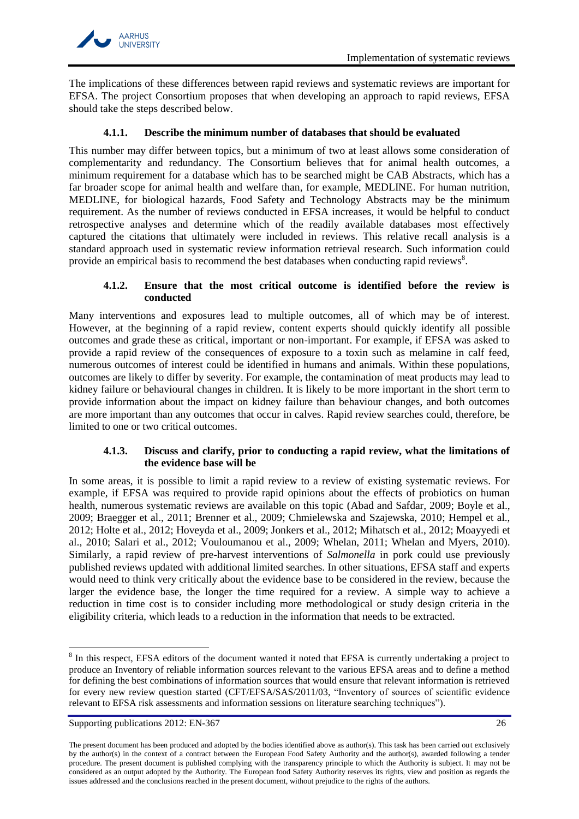

The implications of these differences between rapid reviews and systematic reviews are important for EFSA. The project Consortium proposes that when developing an approach to rapid reviews, EFSA should take the steps described below.

# **4.1.1. Describe the minimum number of databases that should be evaluated**

<span id="page-25-0"></span>This number may differ between topics, but a minimum of two at least allows some consideration of complementarity and redundancy. The Consortium believes that for animal health outcomes, a minimum requirement for a database which has to be searched might be CAB Abstracts, which has a far broader scope for animal health and welfare than, for example, MEDLINE. For human nutrition, MEDLINE, for biological hazards, Food Safety and Technology Abstracts may be the minimum requirement. As the number of reviews conducted in EFSA increases, it would be helpful to conduct retrospective analyses and determine which of the readily available databases most effectively captured the citations that ultimately were included in reviews. This relative recall analysis is a standard approach used in systematic review information retrieval research. Such information could provide an empirical basis to recommend the best databases when conducting rapid reviews<sup>8</sup>.

# **4.1.2. Ensure that the most critical outcome is identified before the review is conducted**

<span id="page-25-1"></span>Many interventions and exposures lead to multiple outcomes, all of which may be of interest. However, at the beginning of a rapid review, content experts should quickly identify all possible outcomes and grade these as critical, important or non-important. For example, if EFSA was asked to provide a rapid review of the consequences of exposure to a toxin such as melamine in calf feed, numerous outcomes of interest could be identified in humans and animals. Within these populations, outcomes are likely to differ by severity. For example, the contamination of meat products may lead to kidney failure or behavioural changes in children. It is likely to be more important in the short term to provide information about the impact on kidney failure than behaviour changes, and both outcomes are more important than any outcomes that occur in calves. Rapid review searches could, therefore, be limited to one or two critical outcomes.

# **4.1.3. Discuss and clarify, prior to conducting a rapid review, what the limitations of the evidence base will be**

<span id="page-25-2"></span>In some areas, it is possible to limit a rapid review to a review of existing systematic reviews. For example, if EFSA was required to provide rapid opinions about the effects of probiotics on human health, numerous systematic reviews are available on this topic [\(Abad and Safdar, 2009;](#page-30-2) [Boyle et al.,](#page-30-11)  [2009;](#page-30-11) [Braegger et al., 2011;](#page-30-3) [Brenner et al., 2009;](#page-30-4) [Chmielewska and Szajewska, 2010;](#page-30-5) [Hempel et al.,](#page-31-3)  [2012;](#page-31-3) [Holte et al., 2012;](#page-31-4) [Hoveyda et al., 2009;](#page-31-5) [Jonkers et al., 2012;](#page-32-3) [Mihatsch et al., 2012;](#page-32-5) [Moayyedi et](#page-32-6)  [al., 2010;](#page-32-6) [Salari et al., 2012;](#page-33-7) [Vouloumanou et al., 2009;](#page-34-14) [Whelan, 2011;](#page-34-15) [Whelan and Myers, 2010\)](#page-34-16). Similarly, a rapid review of pre-harvest interventions of *Salmonella* in pork could use previously published reviews updated with additional limited searches. In other situations, EFSA staff and experts would need to think very critically about the evidence base to be considered in the review, because the larger the evidence base, the longer the time required for a review. A simple way to achieve a reduction in time cost is to consider including more methodological or study design criteria in the eligibility criteria, which leads to a reduction in the information that needs to be extracted.

 $\overline{a}$ 

<sup>&</sup>lt;sup>8</sup> In this respect, EFSA editors of the document wanted it noted that EFSA is currently undertaking a project to produce an Inventory of reliable information sources relevant to the various EFSA areas and to define a method for defining the best combinations of information sources that would ensure that relevant information is retrieved for every new review question started (CFT/EFSA/SAS/2011/03, "Inventory of sources of scientific evidence relevant to EFSA risk assessments and information sessions on literature searching techniques").

Supporting publications 2012: EN-367 26

The present document has been produced and adopted by the bodies identified above as author(s). This task has been carried out exclusively by the author(s) in the context of a contract between the European Food Safety Authority and the author(s), awarded following a tender procedure. The present document is published complying with the transparency principle to which the Authority is subject. It may not be considered as an output adopted by the Authority. The European food Safety Authority reserves its rights, view and position as regards the issues addressed and the conclusions reached in the present document, without prejudice to the rights of the authors.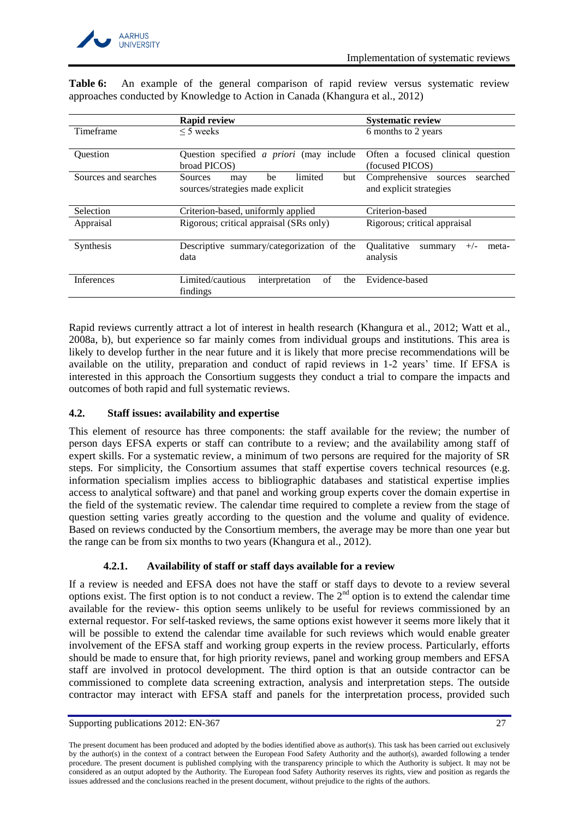

|                      | <b>Rapid review</b>                                                               | <b>Systematic review</b>                                        |  |  |
|----------------------|-----------------------------------------------------------------------------------|-----------------------------------------------------------------|--|--|
| Timeframe            | $\leq$ 5 weeks                                                                    | 6 months to 2 years                                             |  |  |
| Ouestion             | Question specified <i>a priori</i> (may include<br>broad PICOS)                   | Often a focused clinical<br>question<br>(focused PICOS)         |  |  |
| Sources and searches | limited<br><b>Sources</b><br>but<br>be<br>may<br>sources/strategies made explicit | Comprehensive<br>searched<br>sources<br>and explicit strategies |  |  |
| Selection            | Criterion-based, uniformly applied                                                | Criterion-based                                                 |  |  |
| Appraisal            | Rigorous; critical appraisal (SRs only)                                           | Rigorous; critical appraisal                                    |  |  |
| Synthesis            | Descriptive summary/categorization of the<br>data                                 | <b>Oualitative</b><br>$+/-$<br>meta-<br>summary<br>analysis     |  |  |
| Inferences           | Limited/cautious<br>οf<br>interpretation<br>the<br>findings                       | Evidence-based                                                  |  |  |

**Table 6:** An example of the general comparison of rapid review versus systematic review approaches conducted by Knowledge to Action in Canada [\(Khangura et al., 2012\)](#page-32-16)

Rapid reviews currently attract a lot of interest in health research [\(Khangura et al., 2012;](#page-32-16) [Watt et al.,](#page-34-13)  [2008a,](#page-34-13) [b\)](#page-34-17), but experience so far mainly comes from individual groups and institutions. This area is likely to develop further in the near future and it is likely that more precise recommendations will be available on the utility, preparation and conduct of rapid reviews in 1-2 years' time. If EFSA is interested in this approach the Consortium suggests they conduct a trial to compare the impacts and outcomes of both rapid and full systematic reviews.

# <span id="page-26-0"></span>**4.2. Staff issues: availability and expertise**

This element of resource has three components: the staff available for the review; the number of person days EFSA experts or staff can contribute to a review; and the availability among staff of expert skills. For a systematic review, a minimum of two persons are required for the majority of SR steps. For simplicity, the Consortium assumes that staff expertise covers technical resources (e.g. information specialism implies access to bibliographic databases and statistical expertise implies access to analytical software) and that panel and working group experts cover the domain expertise in the field of the systematic review. The calendar time required to complete a review from the stage of question setting varies greatly according to the question and the volume and quality of evidence. Based on reviews conducted by the Consortium members, the average may be more than one year but the range can be from six months to two years [\(Khangura et al., 2012\)](#page-32-16).

# <span id="page-26-1"></span>**4.2.1. Availability of staff or staff days available for a review**

If a review is needed and EFSA does not have the staff or staff days to devote to a review several options exist. The first option is to not conduct a review. The  $2<sup>nd</sup>$  option is to extend the calendar time available for the review- this option seems unlikely to be useful for reviews commissioned by an external requestor. For self-tasked reviews, the same options exist however it seems more likely that it will be possible to extend the calendar time available for such reviews which would enable greater involvement of the EFSA staff and working group experts in the review process. Particularly, efforts should be made to ensure that, for high priority reviews, panel and working group members and EFSA staff are involved in protocol development. The third option is that an outside contractor can be commissioned to complete data screening extraction, analysis and interpretation steps. The outside contractor may interact with EFSA staff and panels for the interpretation process, provided such

Supporting publications 2012: EN-367 27

The present document has been produced and adopted by the bodies identified above as author(s). This task has been carried out exclusively by the author(s) in the context of a contract between the European Food Safety Authority and the author(s), awarded following a tender procedure. The present document is published complying with the transparency principle to which the Authority is subject. It may not be considered as an output adopted by the Authority. The European food Safety Authority reserves its rights, view and position as regards the issues addressed and the conclusions reached in the present document, without prejudice to the rights of the authors.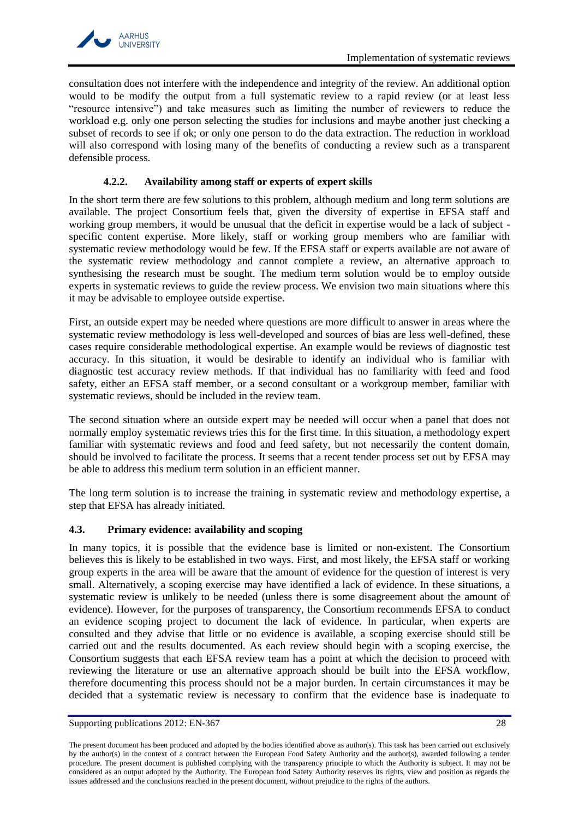

consultation does not interfere with the independence and integrity of the review. An additional option would to be modify the output from a full systematic review to a rapid review (or at least less "resource intensive") and take measures such as limiting the number of reviewers to reduce the workload e.g. only one person selecting the studies for inclusions and maybe another just checking a subset of records to see if ok; or only one person to do the data extraction. The reduction in workload will also correspond with losing many of the benefits of conducting a review such as a transparent defensible process.

# **4.2.2. Availability among staff or experts of expert skills**

<span id="page-27-0"></span>In the short term there are few solutions to this problem, although medium and long term solutions are available. The project Consortium feels that, given the diversity of expertise in EFSA staff and working group members, it would be unusual that the deficit in expertise would be a lack of subject specific content expertise. More likely, staff or working group members who are familiar with systematic review methodology would be few. If the EFSA staff or experts available are not aware of the systematic review methodology and cannot complete a review, an alternative approach to synthesising the research must be sought. The medium term solution would be to employ outside experts in systematic reviews to guide the review process. We envision two main situations where this it may be advisable to employee outside expertise.

First, an outside expert may be needed where questions are more difficult to answer in areas where the systematic review methodology is less well-developed and sources of bias are less well-defined, these cases require considerable methodological expertise. An example would be reviews of diagnostic test accuracy. In this situation, it would be desirable to identify an individual who is familiar with diagnostic test accuracy review methods. If that individual has no familiarity with feed and food safety, either an EFSA staff member, or a second consultant or a workgroup member, familiar with systematic reviews, should be included in the review team.

The second situation where an outside expert may be needed will occur when a panel that does not normally employ systematic reviews tries this for the first time. In this situation, a methodology expert familiar with systematic reviews and food and feed safety, but not necessarily the content domain, should be involved to facilitate the process. It seems that a recent tender process set out by EFSA may be able to address this medium term solution in an efficient manner.

The long term solution is to increase the training in systematic review and methodology expertise, a step that EFSA has already initiated.

# <span id="page-27-1"></span>**4.3. Primary evidence: availability and scoping**

In many topics, it is possible that the evidence base is limited or non-existent. The Consortium believes this is likely to be established in two ways. First, and most likely, the EFSA staff or working group experts in the area will be aware that the amount of evidence for the question of interest is very small. Alternatively, a scoping exercise may have identified a lack of evidence. In these situations, a systematic review is unlikely to be needed (unless there is some disagreement about the amount of evidence). However, for the purposes of transparency, the Consortium recommends EFSA to conduct an evidence scoping project to document the lack of evidence. In particular, when experts are consulted and they advise that little or no evidence is available, a scoping exercise should still be carried out and the results documented. As each review should begin with a scoping exercise, the Consortium suggests that each EFSA review team has a point at which the decision to proceed with reviewing the literature or use an alternative approach should be built into the EFSA workflow, therefore documenting this process should not be a major burden. In certain circumstances it may be decided that a systematic review is necessary to confirm that the evidence base is inadequate to

Supporting publications 2012: EN-367 28

The present document has been produced and adopted by the bodies identified above as author(s). This task has been carried out exclusively by the author(s) in the context of a contract between the European Food Safety Authority and the author(s), awarded following a tender procedure. The present document is published complying with the transparency principle to which the Authority is subject. It may not be considered as an output adopted by the Authority. The European food Safety Authority reserves its rights, view and position as regards the issues addressed and the conclusions reached in the present document, without prejudice to the rights of the authors.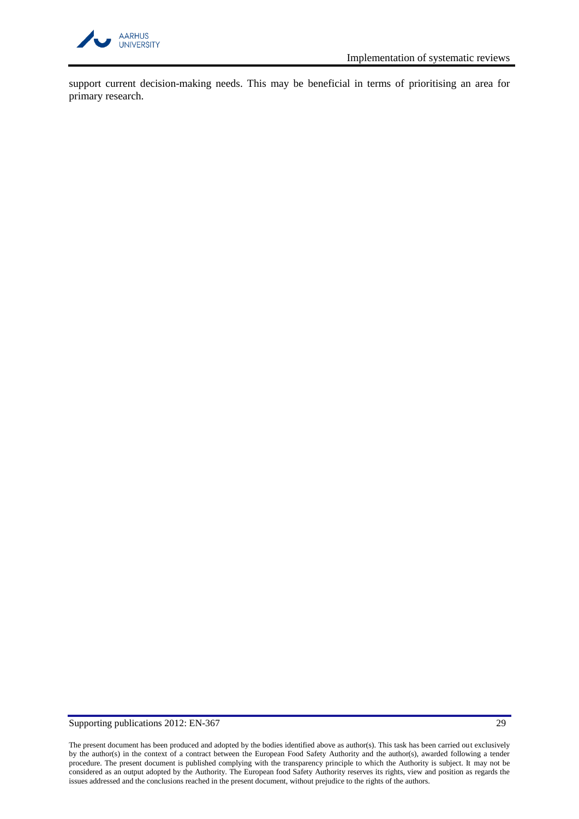

support current decision-making needs. This may be beneficial in terms of prioritising an area for primary research.

# Supporting publications 2012: EN-367 29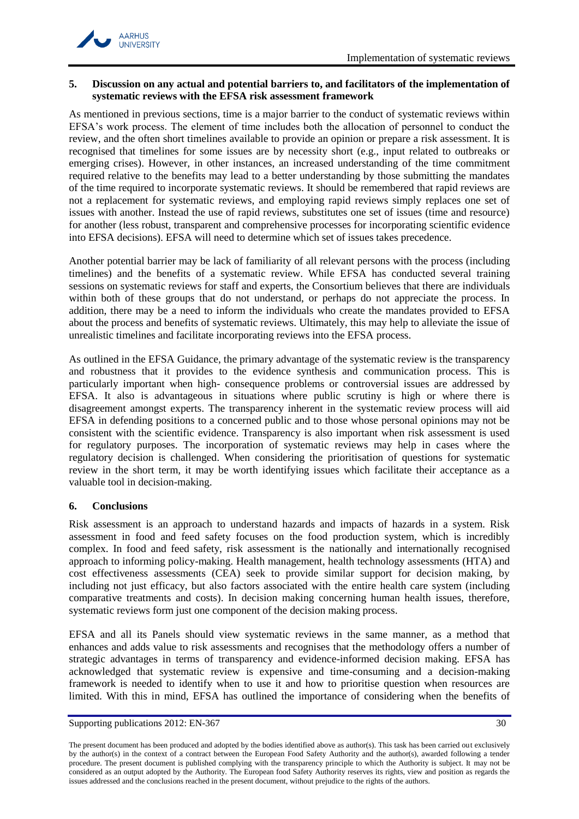

# <span id="page-29-0"></span>**5. Discussion on any actual and potential barriers to, and facilitators of the implementation of systematic reviews with the EFSA risk assessment framework**

As mentioned in previous sections, time is a major barrier to the conduct of systematic reviews within EFSA's work process. The element of time includes both the allocation of personnel to conduct the review, and the often short timelines available to provide an opinion or prepare a risk assessment. It is recognised that timelines for some issues are by necessity short (e.g., input related to outbreaks or emerging crises). However, in other instances, an increased understanding of the time commitment required relative to the benefits may lead to a better understanding by those submitting the mandates of the time required to incorporate systematic reviews. It should be remembered that rapid reviews are not a replacement for systematic reviews, and employing rapid reviews simply replaces one set of issues with another. Instead the use of rapid reviews, substitutes one set of issues (time and resource) for another (less robust, transparent and comprehensive processes for incorporating scientific evidence into EFSA decisions). EFSA will need to determine which set of issues takes precedence.

Another potential barrier may be lack of familiarity of all relevant persons with the process (including timelines) and the benefits of a systematic review. While EFSA has conducted several training sessions on systematic reviews for staff and experts, the Consortium believes that there are individuals within both of these groups that do not understand, or perhaps do not appreciate the process. In addition, there may be a need to inform the individuals who create the mandates provided to EFSA about the process and benefits of systematic reviews. Ultimately, this may help to alleviate the issue of unrealistic timelines and facilitate incorporating reviews into the EFSA process.

As outlined in the EFSA Guidance, the primary advantage of the systematic review is the transparency and robustness that it provides to the evidence synthesis and communication process. This is particularly important when high- consequence problems or controversial issues are addressed by EFSA. It also is advantageous in situations where public scrutiny is high or where there is disagreement amongst experts. The transparency inherent in the systematic review process will aid EFSA in defending positions to a concerned public and to those whose personal opinions may not be consistent with the scientific evidence. Transparency is also important when risk assessment is used for regulatory purposes. The incorporation of systematic reviews may help in cases where the regulatory decision is challenged. When considering the prioritisation of questions for systematic review in the short term, it may be worth identifying issues which facilitate their acceptance as a valuable tool in decision-making.

# <span id="page-29-1"></span>**6. Conclusions**

Risk assessment is an approach to understand hazards and impacts of hazards in a system. Risk assessment in food and feed safety focuses on the food production system, which is incredibly complex. In food and feed safety, risk assessment is the nationally and internationally recognised approach to informing policy-making. Health management, health technology assessments (HTA) and cost effectiveness assessments (CEA) seek to provide similar support for decision making, by including not just efficacy, but also factors associated with the entire health care system (including comparative treatments and costs). In decision making concerning human health issues, therefore, systematic reviews form just one component of the decision making process.

EFSA and all its Panels should view systematic reviews in the same manner, as a method that enhances and adds value to risk assessments and recognises that the methodology offers a number of strategic advantages in terms of transparency and evidence-informed decision making. EFSA has acknowledged that systematic review is expensive and time-consuming and a decision-making framework is needed to identify when to use it and how to prioritise question when resources are limited. With this in mind, EFSA has outlined the importance of considering when the benefits of

The present document has been produced and adopted by the bodies identified above as author(s). This task has been carried out exclusively by the author(s) in the context of a contract between the European Food Safety Authority and the author(s), awarded following a tender procedure. The present document is published complying with the transparency principle to which the Authority is subject. It may not be considered as an output adopted by the Authority. The European food Safety Authority reserves its rights, view and position as regards the issues addressed and the conclusions reached in the present document, without prejudice to the rights of the authors.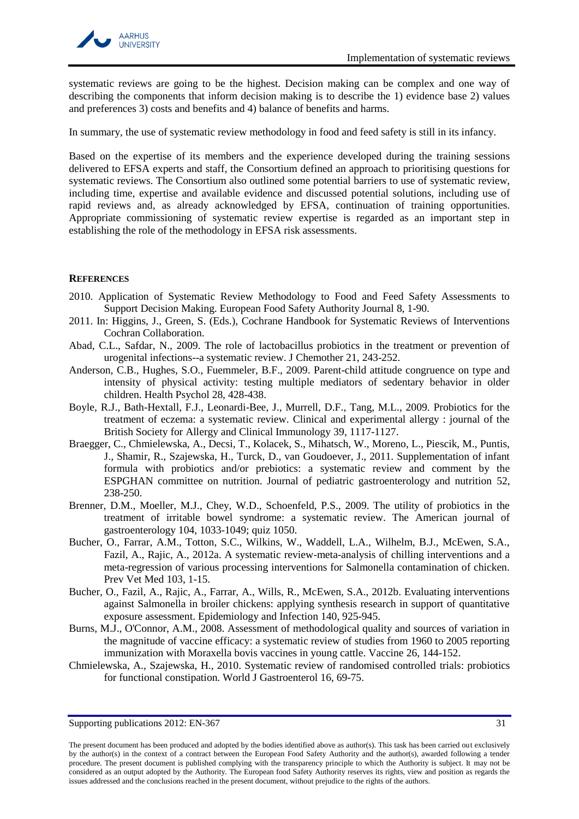

systematic reviews are going to be the highest. Decision making can be complex and one way of describing the components that inform decision making is to describe the 1) evidence base 2) values and preferences 3) costs and benefits and 4) balance of benefits and harms.

In summary, the use of systematic review methodology in food and feed safety is still in its infancy.

Based on the expertise of its members and the experience developed during the training sessions delivered to EFSA experts and staff, the Consortium defined an approach to prioritising questions for systematic reviews. The Consortium also outlined some potential barriers to use of systematic review, including time, expertise and available evidence and discussed potential solutions, including use of rapid reviews and, as already acknowledged by EFSA, continuation of training opportunities. Appropriate commissioning of systematic review expertise is regarded as an important step in establishing the role of the methodology in EFSA risk assessments.

### <span id="page-30-0"></span>**REFERENCES**

- <span id="page-30-1"></span>2010. Application of Systematic Review Methodology to Food and Feed Safety Assessments to Support Decision Making. European Food Safety Authority Journal 8, 1-90.
- <span id="page-30-10"></span>2011. In: Higgins, J., Green, S. (Eds.), Cochrane Handbook for Systematic Reviews of Interventions Cochran Collaboration.
- <span id="page-30-2"></span>Abad, C.L., Safdar, N., 2009. The role of lactobacillus probiotics in the treatment or prevention of urogenital infections--a systematic review. J Chemother 21, 243-252.
- <span id="page-30-8"></span>Anderson, C.B., Hughes, S.O., Fuemmeler, B.F., 2009. Parent-child attitude congruence on type and intensity of physical activity: testing multiple mediators of sedentary behavior in older children. Health Psychol 28, 428-438.
- <span id="page-30-11"></span>Boyle, R.J., Bath-Hextall, F.J., Leonardi-Bee, J., Murrell, D.F., Tang, M.L., 2009. Probiotics for the treatment of eczema: a systematic review. Clinical and experimental allergy : journal of the British Society for Allergy and Clinical Immunology 39, 1117-1127.
- <span id="page-30-3"></span>Braegger, C., Chmielewska, A., Decsi, T., Kolacek, S., Mihatsch, W., Moreno, L., Piescik, M., Puntis, J., Shamir, R., Szajewska, H., Turck, D., van Goudoever, J., 2011. Supplementation of infant formula with probiotics and/or prebiotics: a systematic review and comment by the ESPGHAN committee on nutrition. Journal of pediatric gastroenterology and nutrition 52, 238-250.
- <span id="page-30-4"></span>Brenner, D.M., Moeller, M.J., Chey, W.D., Schoenfeld, P.S., 2009. The utility of probiotics in the treatment of irritable bowel syndrome: a systematic review. The American journal of gastroenterology 104, 1033-1049; quiz 1050.
- <span id="page-30-6"></span>Bucher, O., Farrar, A.M., Totton, S.C., Wilkins, W., Waddell, L.A., Wilhelm, B.J., McEwen, S.A., Fazil, A., Rajic, A., 2012a. A systematic review-meta-analysis of chilling interventions and a meta-regression of various processing interventions for Salmonella contamination of chicken. Prev Vet Med 103, 1-15.
- <span id="page-30-7"></span>Bucher, O., Fazil, A., Rajic, A., Farrar, A., Wills, R., McEwen, S.A., 2012b. Evaluating interventions against Salmonella in broiler chickens: applying synthesis research in support of quantitative exposure assessment. Epidemiology and Infection 140, 925-945.
- <span id="page-30-9"></span>Burns, M.J., O'Connor, A.M., 2008. Assessment of methodological quality and sources of variation in the magnitude of vaccine efficacy: a systematic review of studies from 1960 to 2005 reporting immunization with Moraxella bovis vaccines in young cattle. Vaccine 26, 144-152.
- <span id="page-30-5"></span>Chmielewska, A., Szajewska, H., 2010. Systematic review of randomised controlled trials: probiotics for functional constipation. World J Gastroenterol 16, 69-75.

Supporting publications 2012: EN-367 31

The present document has been produced and adopted by the bodies identified above as author(s). This task has been carried out exclusively by the author(s) in the context of a contract between the European Food Safety Authority and the author(s), awarded following a tender procedure. The present document is published complying with the transparency principle to which the Authority is subject. It may not be considered as an output adopted by the Authority. The European food Safety Authority reserves its rights, view and position as regards the issues addressed and the conclusions reached in the present document, without prejudice to the rights of the authors.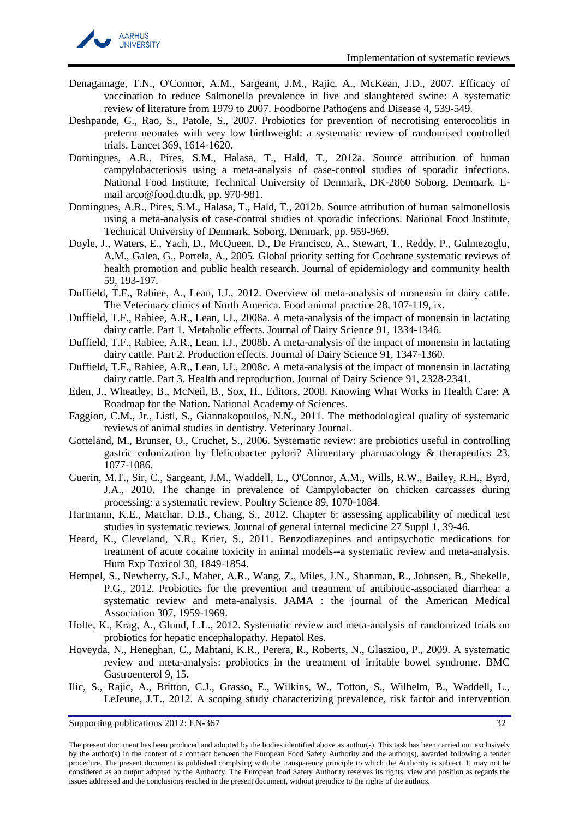

- <span id="page-31-16"></span>Denagamage, T.N., O'Connor, A.M., Sargeant, J.M., Rajic, A., McKean, J.D., 2007. Efficacy of vaccination to reduce Salmonella prevalence in live and slaughtered swine: A systematic review of literature from 1979 to 2007. Foodborne Pathogens and Disease 4, 539-549.
- <span id="page-31-1"></span>Deshpande, G., Rao, S., Patole, S., 2007. Probiotics for prevention of necrotising enterocolitis in preterm neonates with very low birthweight: a systematic review of randomised controlled trials. Lancet 369, 1614-1620.
- <span id="page-31-6"></span>Domingues, A.R., Pires, S.M., Halasa, T., Hald, T., 2012a. Source attribution of human campylobacteriosis using a meta-analysis of case-control studies of sporadic infections. National Food Institute, Technical University of Denmark, DK-2860 Soborg, Denmark. Email arco@food.dtu.dk, pp. 970-981.
- <span id="page-31-7"></span>Domingues, A.R., Pires, S.M., Halasa, T., Hald, T., 2012b. Source attribution of human salmonellosis using a meta-analysis of case-control studies of sporadic infections. National Food Institute, Technical University of Denmark, Soborg, Denmark, pp. 959-969.
- <span id="page-31-18"></span>Doyle, J., Waters, E., Yach, D., McQueen, D., De Francisco, A., Stewart, T., Reddy, P., Gulmezoglu, A.M., Galea, G., Portela, A., 2005. Global priority setting for Cochrane systematic reviews of health promotion and public health research. Journal of epidemiology and community health 59, 193-197.
- <span id="page-31-9"></span>Duffield, T.F., Rabiee, A., Lean, I.J., 2012. Overview of meta-analysis of monensin in dairy cattle. The Veterinary clinics of North America. Food animal practice 28, 107-119, ix.
- <span id="page-31-10"></span>Duffield, T.F., Rabiee, A.R., Lean, I.J., 2008a. A meta-analysis of the impact of monensin in lactating dairy cattle. Part 1. Metabolic effects. Journal of Dairy Science 91, 1334-1346.
- <span id="page-31-11"></span>Duffield, T.F., Rabiee, A.R., Lean, I.J., 2008b. A meta-analysis of the impact of monensin in lactating dairy cattle. Part 2. Production effects. Journal of Dairy Science 91, 1347-1360.
- <span id="page-31-12"></span>Duffield, T.F., Rabiee, A.R., Lean, I.J., 2008c. A meta-analysis of the impact of monensin in lactating dairy cattle. Part 3. Health and reproduction. Journal of Dairy Science 91, 2328-2341.
- <span id="page-31-15"></span>Eden, J., Wheatley, B., McNeil, B., Sox, H., Editors, 2008. Knowing What Works in Health Care: A Roadmap for the Nation. National Academy of Sciences.
- <span id="page-31-14"></span>Faggion, C.M., Jr., Listl, S., Giannakopoulos, N.N., 2011. The methodological quality of systematic reviews of animal studies in dentistry. Veterinary Journal.
- <span id="page-31-2"></span>Gotteland, M., Brunser, O., Cruchet, S., 2006. Systematic review: are probiotics useful in controlling gastric colonization by Helicobacter pylori? Alimentary pharmacology & therapeutics 23, 1077-1086.
- <span id="page-31-17"></span>Guerin, M.T., Sir, C., Sargeant, J.M., Waddell, L., O'Connor, A.M., Wills, R.W., Bailey, R.H., Byrd, J.A., 2010. The change in prevalence of Campylobacter on chicken carcasses during processing: a systematic review. Poultry Science 89, 1070-1084.
- <span id="page-31-0"></span>Hartmann, K.E., Matchar, D.B., Chang, S., 2012. Chapter 6: assessing applicability of medical test studies in systematic reviews. Journal of general internal medicine 27 Suppl 1, 39-46.
- <span id="page-31-13"></span>Heard, K., Cleveland, N.R., Krier, S., 2011. Benzodiazepines and antipsychotic medications for treatment of acute cocaine toxicity in animal models--a systematic review and meta-analysis. Hum Exp Toxicol 30, 1849-1854.
- <span id="page-31-3"></span>Hempel, S., Newberry, S.J., Maher, A.R., Wang, Z., Miles, J.N., Shanman, R., Johnsen, B., Shekelle, P.G., 2012. Probiotics for the prevention and treatment of antibiotic-associated diarrhea: a systematic review and meta-analysis. JAMA : the journal of the American Medical Association 307, 1959-1969.
- <span id="page-31-4"></span>Holte, K., Krag, A., Gluud, L.L., 2012. Systematic review and meta-analysis of randomized trials on probiotics for hepatic encephalopathy. Hepatol Res.
- <span id="page-31-5"></span>Hoveyda, N., Heneghan, C., Mahtani, K.R., Perera, R., Roberts, N., Glasziou, P., 2009. A systematic review and meta-analysis: probiotics in the treatment of irritable bowel syndrome. BMC Gastroenterol 9, 15.
- <span id="page-31-8"></span>Ilic, S., Rajic, A., Britton, C.J., Grasso, E., Wilkins, W., Totton, S., Wilhelm, B., Waddell, L., LeJeune, J.T., 2012. A scoping study characterizing prevalence, risk factor and intervention

The present document has been produced and adopted by the bodies identified above as author(s). This task has been carried out exclusively by the author(s) in the context of a contract between the European Food Safety Authority and the author(s), awarded following a tender procedure. The present document is published complying with the transparency principle to which the Authority is subject. It may not be considered as an output adopted by the Authority. The European food Safety Authority reserves its rights, view and position as regards the issues addressed and the conclusions reached in the present document, without prejudice to the rights of the authors.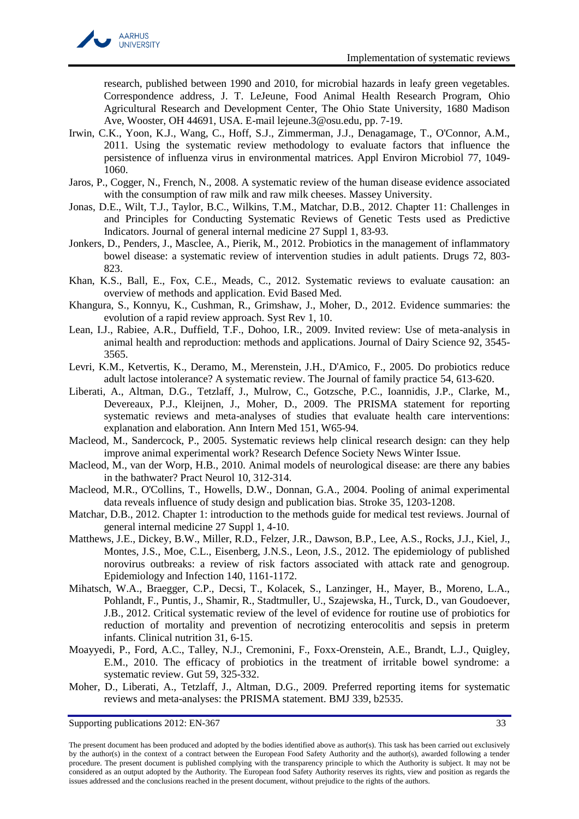

research, published between 1990 and 2010, for microbial hazards in leafy green vegetables. Correspondence address, J. T. LeJeune, Food Animal Health Research Program, Ohio Agricultural Research and Development Center, The Ohio State University, 1680 Madison Ave, Wooster, OH 44691, USA. E-mail lejeune.3@osu.edu, pp. 7-19.

- <span id="page-32-7"></span>Irwin, C.K., Yoon, K.J., Wang, C., Hoff, S.J., Zimmerman, J.J., Denagamage, T., O'Connor, A.M., 2011. Using the systematic review methodology to evaluate factors that influence the persistence of influenza virus in environmental matrices. Appl Environ Microbiol 77, 1049- 1060.
- <span id="page-32-15"></span>Jaros, P., Cogger, N., French, N., 2008. A systematic review of the human disease evidence associated with the consumption of raw milk and raw milk cheeses. Massey University.
- <span id="page-32-0"></span>Jonas, D.E., Wilt, T.J., Taylor, B.C., Wilkins, T.M., Matchar, D.B., 2012. Chapter 11: Challenges in and Principles for Conducting Systematic Reviews of Genetic Tests used as Predictive Indicators. Journal of general internal medicine 27 Suppl 1, 83-93.
- <span id="page-32-3"></span>Jonkers, D., Penders, J., Masclee, A., Pierik, M., 2012. Probiotics in the management of inflammatory bowel disease: a systematic review of intervention studies in adult patients. Drugs 72, 803- 823.
- <span id="page-32-2"></span>Khan, K.S., Ball, E., Fox, C.E., Meads, C., 2012. Systematic reviews to evaluate causation: an overview of methods and application. Evid Based Med.
- <span id="page-32-16"></span>Khangura, S., Konnyu, K., Cushman, R., Grimshaw, J., Moher, D., 2012. Evidence summaries: the evolution of a rapid review approach. Syst Rev 1, 10.
- <span id="page-32-9"></span>Lean, I.J., Rabiee, A.R., Duffield, T.F., Dohoo, I.R., 2009. Invited review: Use of meta-analysis in animal health and reproduction: methods and applications. Journal of Dairy Science 92, 3545- 3565.
- <span id="page-32-4"></span>Levri, K.M., Ketvertis, K., Deramo, M., Merenstein, J.H., D'Amico, F., 2005. Do probiotics reduce adult lactose intolerance? A systematic review. The Journal of family practice 54, 613-620.
- <span id="page-32-13"></span>Liberati, A., Altman, D.G., Tetzlaff, J., Mulrow, C., Gotzsche, P.C., Ioannidis, J.P., Clarke, M., Devereaux, P.J., Kleijnen, J., Moher, D., 2009. The PRISMA statement for reporting systematic reviews and meta-analyses of studies that evaluate health care interventions: explanation and elaboration. Ann Intern Med 151, W65-94.
- <span id="page-32-10"></span>Macleod, M., Sandercock, P., 2005. Systematic reviews help clinical research design: can they help improve animal experimental work? Research Defence Society News Winter Issue.
- <span id="page-32-11"></span>Macleod, M., van der Worp, H.B., 2010. Animal models of neurological disease: are there any babies in the bathwater? Pract Neurol 10, 312-314.
- <span id="page-32-12"></span>Macleod, M.R., O'Collins, T., Howells, D.W., Donnan, G.A., 2004. Pooling of animal experimental data reveals influence of study design and publication bias. Stroke 35, 1203-1208.
- <span id="page-32-1"></span>Matchar, D.B., 2012. Chapter 1: introduction to the methods guide for medical test reviews. Journal of general internal medicine 27 Suppl 1, 4-10.
- <span id="page-32-8"></span>Matthews, J.E., Dickey, B.W., Miller, R.D., Felzer, J.R., Dawson, B.P., Lee, A.S., Rocks, J.J., Kiel, J., Montes, J.S., Moe, C.L., Eisenberg, J.N.S., Leon, J.S., 2012. The epidemiology of published norovirus outbreaks: a review of risk factors associated with attack rate and genogroup. Epidemiology and Infection 140, 1161-1172.
- <span id="page-32-5"></span>Mihatsch, W.A., Braegger, C.P., Decsi, T., Kolacek, S., Lanzinger, H., Mayer, B., Moreno, L.A., Pohlandt, F., Puntis, J., Shamir, R., Stadtmuller, U., Szajewska, H., Turck, D., van Goudoever, J.B., 2012. Critical systematic review of the level of evidence for routine use of probiotics for reduction of mortality and prevention of necrotizing enterocolitis and sepsis in preterm infants. Clinical nutrition 31, 6-15.
- <span id="page-32-6"></span>Moayyedi, P., Ford, A.C., Talley, N.J., Cremonini, F., Foxx-Orenstein, A.E., Brandt, L.J., Quigley, E.M., 2010. The efficacy of probiotics in the treatment of irritable bowel syndrome: a systematic review. Gut 59, 325-332.
- <span id="page-32-14"></span>Moher, D., Liberati, A., Tetzlaff, J., Altman, D.G., 2009. Preferred reporting items for systematic reviews and meta-analyses: the PRISMA statement. BMJ 339, b2535.

The present document has been produced and adopted by the bodies identified above as author(s). This task has been carried out exclusively by the author(s) in the context of a contract between the European Food Safety Authority and the author(s), awarded following a tender procedure. The present document is published complying with the transparency principle to which the Authority is subject. It may not be considered as an output adopted by the Authority. The European food Safety Authority reserves its rights, view and position as regards the issues addressed and the conclusions reached in the present document, without prejudice to the rights of the authors.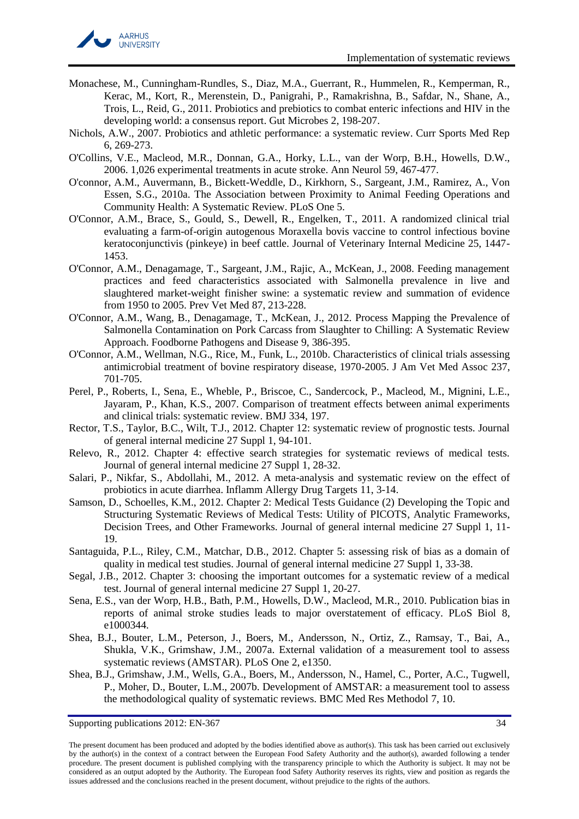

- <span id="page-33-5"></span>Monachese, M., Cunningham-Rundles, S., Diaz, M.A., Guerrant, R., Hummelen, R., Kemperman, R., Kerac, M., Kort, R., Merenstein, D., Panigrahi, P., Ramakrishna, B., Safdar, N., Shane, A., Trois, L., Reid, G., 2011. Probiotics and prebiotics to combat enteric infections and HIV in the developing world: a consensus report. Gut Microbes 2, 198-207.
- <span id="page-33-6"></span>Nichols, A.W., 2007. Probiotics and athletic performance: a systematic review. Curr Sports Med Rep 6, 269-273.
- <span id="page-33-10"></span>O'Collins, V.E., Macleod, M.R., Donnan, G.A., Horky, L.L., van der Worp, B.H., Howells, D.W., 2006. 1,026 experimental treatments in acute stroke. Ann Neurol 59, 467-477.
- <span id="page-33-17"></span>O'connor, A.M., Auvermann, B., Bickett-Weddle, D., Kirkhorn, S., Sargeant, J.M., Ramirez, A., Von Essen, S.G., 2010a. The Association between Proximity to Animal Feeding Operations and Community Health: A Systematic Review. PLoS One 5.
- <span id="page-33-8"></span>O'Connor, A.M., Brace, S., Gould, S., Dewell, R., Engelken, T., 2011. A randomized clinical trial evaluating a farm-of-origin autogenous Moraxella bovis vaccine to control infectious bovine keratoconjunctivis (pinkeye) in beef cattle. Journal of Veterinary Internal Medicine 25, 1447- 1453.
- <span id="page-33-15"></span>O'Connor, A.M., Denagamage, T., Sargeant, J.M., Rajic, A., McKean, J., 2008. Feeding management practices and feed characteristics associated with Salmonella prevalence in live and slaughtered market-weight finisher swine: a systematic review and summation of evidence from 1950 to 2005. Prev Vet Med 87, 213-228.
- <span id="page-33-16"></span>O'Connor, A.M., Wang, B., Denagamage, T., McKean, J., 2012. Process Mapping the Prevalence of Salmonella Contamination on Pork Carcass from Slaughter to Chilling: A Systematic Review Approach. Foodborne Pathogens and Disease 9, 386-395.
- <span id="page-33-9"></span>O'Connor, A.M., Wellman, N.G., Rice, M., Funk, L., 2010b. Characteristics of clinical trials assessing antimicrobial treatment of bovine respiratory disease, 1970-2005. J Am Vet Med Assoc 237, 701-705.
- <span id="page-33-11"></span>Perel, P., Roberts, I., Sena, E., Wheble, P., Briscoe, C., Sandercock, P., Macleod, M., Mignini, L.E., Jayaram, P., Khan, K.S., 2007. Comparison of treatment effects between animal experiments and clinical trials: systematic review. BMJ 334, 197.
- <span id="page-33-0"></span>Rector, T.S., Taylor, B.C., Wilt, T.J., 2012. Chapter 12: systematic review of prognostic tests. Journal of general internal medicine 27 Suppl 1, 94-101.
- <span id="page-33-1"></span>Relevo, R., 2012. Chapter 4: effective search strategies for systematic reviews of medical tests. Journal of general internal medicine 27 Suppl 1, 28-32.
- <span id="page-33-7"></span>Salari, P., Nikfar, S., Abdollahi, M., 2012. A meta-analysis and systematic review on the effect of probiotics in acute diarrhea. Inflamm Allergy Drug Targets 11, 3-14.
- <span id="page-33-2"></span>Samson, D., Schoelles, K.M., 2012. Chapter 2: Medical Tests Guidance (2) Developing the Topic and Structuring Systematic Reviews of Medical Tests: Utility of PICOTS, Analytic Frameworks, Decision Trees, and Other Frameworks. Journal of general internal medicine 27 Suppl 1, 11- 19.
- <span id="page-33-3"></span>Santaguida, P.L., Riley, C.M., Matchar, D.B., 2012. Chapter 5: assessing risk of bias as a domain of quality in medical test studies. Journal of general internal medicine 27 Suppl 1, 33-38.
- <span id="page-33-4"></span>Segal, J.B., 2012. Chapter 3: choosing the important outcomes for a systematic review of a medical test. Journal of general internal medicine 27 Suppl 1, 20-27.
- <span id="page-33-12"></span>Sena, E.S., van der Worp, H.B., Bath, P.M., Howells, D.W., Macleod, M.R., 2010. Publication bias in reports of animal stroke studies leads to major overstatement of efficacy. PLoS Biol 8, e1000344.
- <span id="page-33-13"></span>Shea, B.J., Bouter, L.M., Peterson, J., Boers, M., Andersson, N., Ortiz, Z., Ramsay, T., Bai, A., Shukla, V.K., Grimshaw, J.M., 2007a. External validation of a measurement tool to assess systematic reviews (AMSTAR). PLoS One 2, e1350.
- <span id="page-33-14"></span>Shea, B.J., Grimshaw, J.M., Wells, G.A., Boers, M., Andersson, N., Hamel, C., Porter, A.C., Tugwell, P., Moher, D., Bouter, L.M., 2007b. Development of AMSTAR: a measurement tool to assess the methodological quality of systematic reviews. BMC Med Res Methodol 7, 10.

The present document has been produced and adopted by the bodies identified above as author(s). This task has been carried out exclusively by the author(s) in the context of a contract between the European Food Safety Authority and the author(s), awarded following a tender procedure. The present document is published complying with the transparency principle to which the Authority is subject. It may not be considered as an output adopted by the Authority. The European food Safety Authority reserves its rights, view and position as regards the issues addressed and the conclusions reached in the present document, without prejudice to the rights of the authors.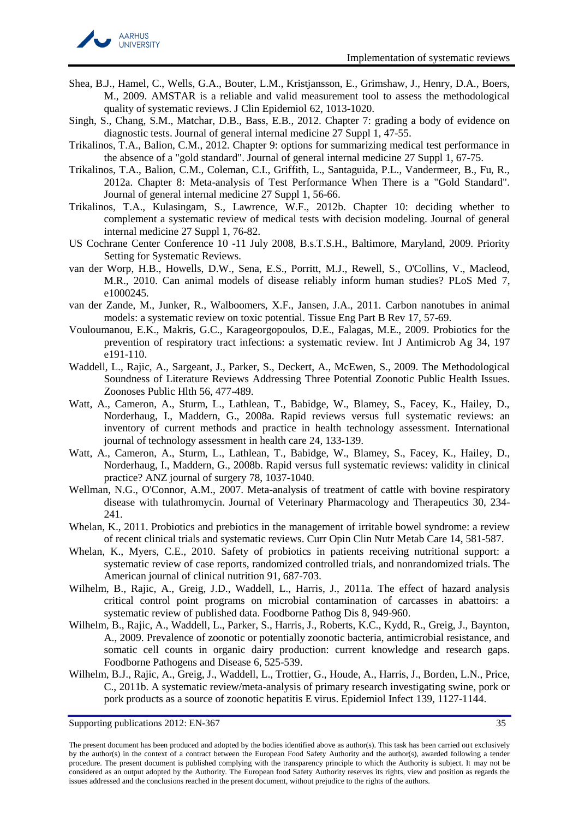

- <span id="page-34-7"></span>Shea, B.J., Hamel, C., Wells, G.A., Bouter, L.M., Kristjansson, E., Grimshaw, J., Henry, D.A., Boers, M., 2009. AMSTAR is a reliable and valid measurement tool to assess the methodological quality of systematic reviews. J Clin Epidemiol 62, 1013-1020.
- <span id="page-34-0"></span>Singh, S., Chang, S.M., Matchar, D.B., Bass, E.B., 2012. Chapter 7: grading a body of evidence on diagnostic tests. Journal of general internal medicine 27 Suppl 1, 47-55.
- <span id="page-34-1"></span>Trikalinos, T.A., Balion, C.M., 2012. Chapter 9: options for summarizing medical test performance in the absence of a "gold standard". Journal of general internal medicine 27 Suppl 1, 67-75.
- <span id="page-34-2"></span>Trikalinos, T.A., Balion, C.M., Coleman, C.I., Griffith, L., Santaguida, P.L., Vandermeer, B., Fu, R., 2012a. Chapter 8: Meta-analysis of Test Performance When There is a "Gold Standard". Journal of general internal medicine 27 Suppl 1, 56-66.
- <span id="page-34-3"></span>Trikalinos, T.A., Kulasingam, S., Lawrence, W.F., 2012b. Chapter 10: deciding whether to complement a systematic review of medical tests with decision modeling. Journal of general internal medicine 27 Suppl 1, 76-82.
- <span id="page-34-12"></span>US Cochrane Center Conference 10 -11 July 2008, B.s.T.S.H., Baltimore, Maryland, 2009. Priority Setting for Systematic Reviews.
- <span id="page-34-5"></span>van der Worp, H.B., Howells, D.W., Sena, E.S., Porritt, M.J., Rewell, S., O'Collins, V., Macleod, M.R., 2010. Can animal models of disease reliably inform human studies? PLoS Med 7, e1000245.
- <span id="page-34-6"></span>van der Zande, M., Junker, R., Walboomers, X.F., Jansen, J.A., 2011. Carbon nanotubes in animal models: a systematic review on toxic potential. Tissue Eng Part B Rev 17, 57-69.
- <span id="page-34-14"></span>Vouloumanou, E.K., Makris, G.C., Karageorgopoulos, D.E., Falagas, M.E., 2009. Probiotics for the prevention of respiratory tract infections: a systematic review. Int J Antimicrob Ag 34, 197 e191-110.
- <span id="page-34-8"></span>Waddell, L., Rajic, A., Sargeant, J., Parker, S., Deckert, A., McEwen, S., 2009. The Methodological Soundness of Literature Reviews Addressing Three Potential Zoonotic Public Health Issues. Zoonoses Public Hlth 56, 477-489.
- <span id="page-34-13"></span>Watt, A., Cameron, A., Sturm, L., Lathlean, T., Babidge, W., Blamey, S., Facey, K., Hailey, D., Norderhaug, I., Maddern, G., 2008a. Rapid reviews versus full systematic reviews: an inventory of current methods and practice in health technology assessment. International journal of technology assessment in health care 24, 133-139.
- <span id="page-34-17"></span>Watt, A., Cameron, A., Sturm, L., Lathlean, T., Babidge, W., Blamey, S., Facey, K., Hailey, D., Norderhaug, I., Maddern, G., 2008b. Rapid versus full systematic reviews: validity in clinical practice? ANZ journal of surgery 78, 1037-1040.
- <span id="page-34-4"></span>Wellman, N.G., O'Connor, A.M., 2007. Meta-analysis of treatment of cattle with bovine respiratory disease with tulathromycin. Journal of Veterinary Pharmacology and Therapeutics 30, 234- 241.
- <span id="page-34-15"></span>Whelan, K., 2011. Probiotics and prebiotics in the management of irritable bowel syndrome: a review of recent clinical trials and systematic reviews. Curr Opin Clin Nutr Metab Care 14, 581-587.
- <span id="page-34-16"></span>Whelan, K., Myers, C.E., 2010. Safety of probiotics in patients receiving nutritional support: a systematic review of case reports, randomized controlled trials, and nonrandomized trials. The American journal of clinical nutrition 91, 687-703.
- <span id="page-34-9"></span>Wilhelm, B., Rajic, A., Greig, J.D., Waddell, L., Harris, J., 2011a. The effect of hazard analysis critical control point programs on microbial contamination of carcasses in abattoirs: a systematic review of published data. Foodborne Pathog Dis 8, 949-960.
- <span id="page-34-10"></span>Wilhelm, B., Rajic, A., Waddell, L., Parker, S., Harris, J., Roberts, K.C., Kydd, R., Greig, J., Baynton, A., 2009. Prevalence of zoonotic or potentially zoonotic bacteria, antimicrobial resistance, and somatic cell counts in organic dairy production: current knowledge and research gaps. Foodborne Pathogens and Disease 6, 525-539.
- <span id="page-34-11"></span>Wilhelm, B.J., Rajic, A., Greig, J., Waddell, L., Trottier, G., Houde, A., Harris, J., Borden, L.N., Price, C., 2011b. A systematic review/meta-analysis of primary research investigating swine, pork or pork products as a source of zoonotic hepatitis E virus. Epidemiol Infect 139, 1127-1144.

The present document has been produced and adopted by the bodies identified above as author(s). This task has been carried out exclusively by the author(s) in the context of a contract between the European Food Safety Authority and the author(s), awarded following a tender procedure. The present document is published complying with the transparency principle to which the Authority is subject. It may not be considered as an output adopted by the Authority. The European food Safety Authority reserves its rights, view and position as regards the issues addressed and the conclusions reached in the present document, without prejudice to the rights of the authors.